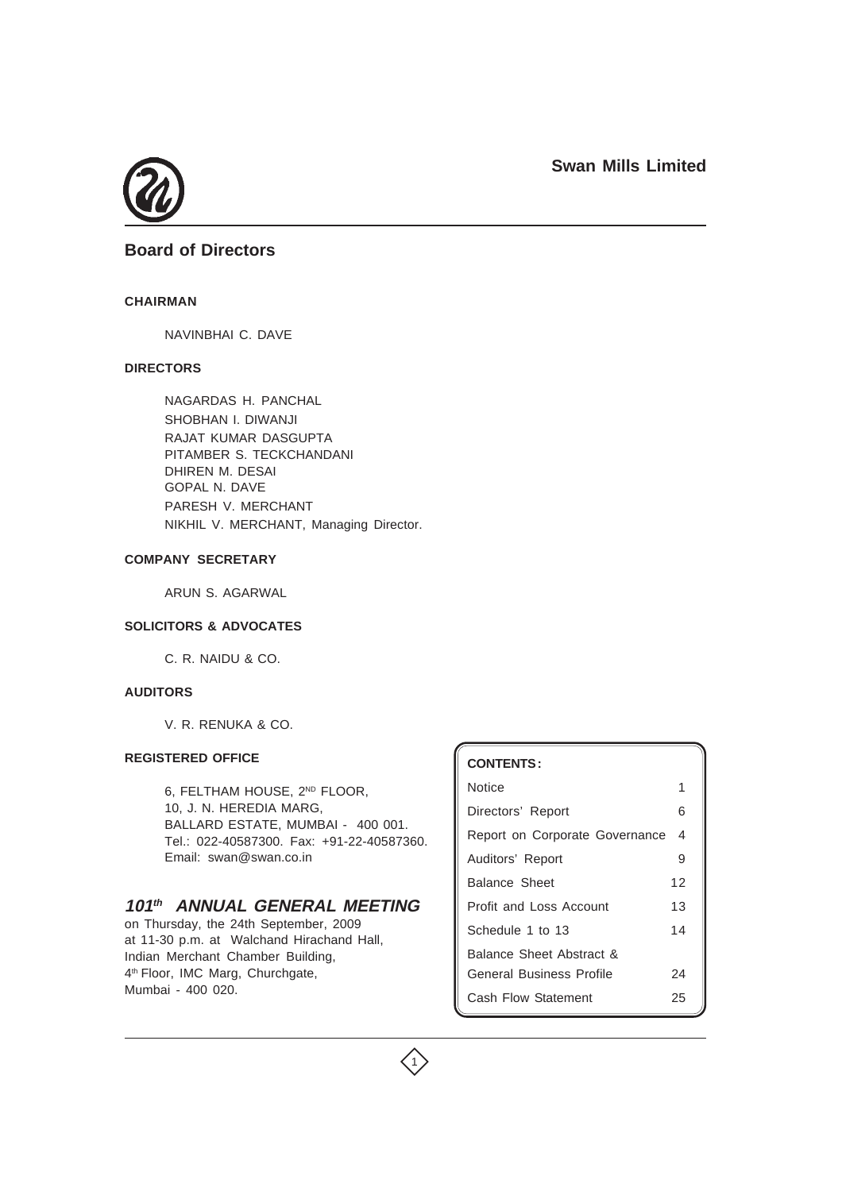

## **Board of Directors**

### **CHAIRMAN**

NAVINBHAI C. DAVE

## **DIRECTORS**

NAGARDAS H. PANCHAL SHOBHAN I. DIWANJI RAJAT KUMAR DASGUPTA PITAMBER S. TECKCHANDANI DHIREN M. DESAI GOPAL N. DAVE PARESH V. MERCHANT NIKHIL V. MERCHANT, Managing Director.

#### **COMPANY SECRETARY**

ARUN S. AGARWAL

### **SOLICITORS & ADVOCATES**

C. R. NAIDU & CO.

## **AUDITORS**

V. R. RENUKA & CO.

### **REGISTERED OFFICE**

6, FELTHAM HOUSE, 2ND FLOOR, 10, J. N. HEREDIA MARG, BALLARD ESTATE, MUMBAI - 400 001. Tel.: 022-40587300. Fax: +91-22-40587360. Email: swan@swan.co.in

## **101th ANNUAL GENERAL MEETING**

on Thursday, the 24th September, 2009 at 11-30 p.m. at Walchand Hirachand Hall, Indian Merchant Chamber Building, 4<sup>th</sup> Floor, IMC Marg, Churchgate, Mumbai - 400 020.

# **CONTENTS :** Notice 1 and 1 and 1 and 1 and 1 and 1 and 1 and 1 and 1 and 1 and 1 and 1 and 1 and 1 and 1 and 1 and 1 and 1 Directors' Report 6 Report on Corporate Governance 4 Auditors' Report 9 Balance Sheet 12 Profit and Loss Account 13 Schedule 1 to 13 14 Balance Sheet Abstract & General Business Profile 24 Cash Flow Statement 25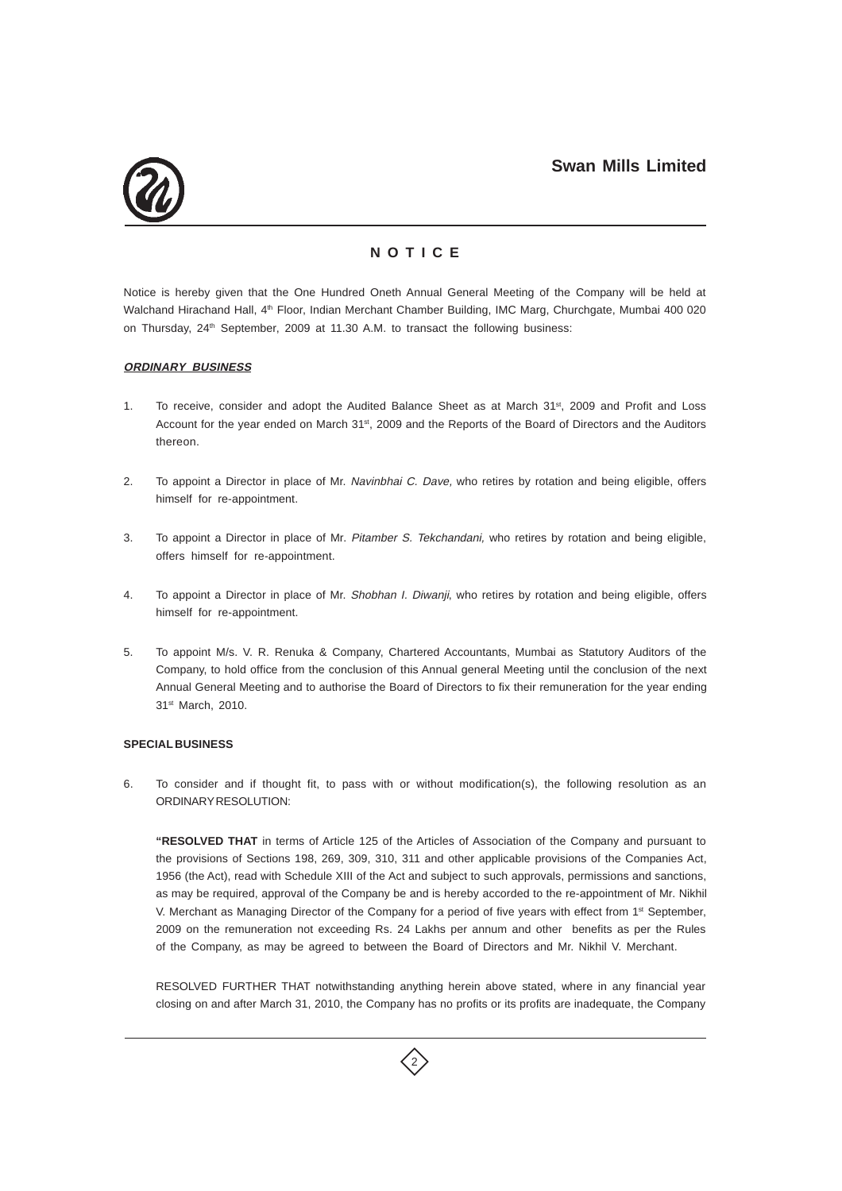

## **N O T I C E**

Notice is hereby given that the One Hundred Oneth Annual General Meeting of the Company will be held at Walchand Hirachand Hall, 4<sup>th</sup> Floor, Indian Merchant Chamber Building, IMC Marg, Churchgate, Mumbai 400 020 on Thursday, 24<sup>th</sup> September, 2009 at 11.30 A.M. to transact the following business:

### **ORDINARY BUSINESS**

- 1. To receive, consider and adopt the Audited Balance Sheet as at March 31<sup>st</sup>, 2009 and Profit and Loss Account for the year ended on March 31st, 2009 and the Reports of the Board of Directors and the Auditors thereon.
- 2. To appoint a Director in place of Mr. Navinbhai C. Dave, who retires by rotation and being eligible, offers himself for re-appointment.
- 3. To appoint a Director in place of Mr. Pitamber S. Tekchandani, who retires by rotation and being eligible, offers himself for re-appointment.
- 4. To appoint a Director in place of Mr. Shobhan I. Diwanji, who retires by rotation and being eligible, offers himself for re-appointment.
- 5. To appoint M/s. V. R. Renuka & Company, Chartered Accountants, Mumbai as Statutory Auditors of the Company, to hold office from the conclusion of this Annual general Meeting until the conclusion of the next Annual General Meeting and to authorise the Board of Directors to fix their remuneration for the year ending 31st March, 2010.

#### **SPECIAL BUSINESS**

6. To consider and if thought fit, to pass with or without modification(s), the following resolution as an ORDINARY RESOLUTION:

**"RESOLVED THAT** in terms of Article 125 of the Articles of Association of the Company and pursuant to the provisions of Sections 198, 269, 309, 310, 311 and other applicable provisions of the Companies Act, 1956 (the Act), read with Schedule XIII of the Act and subject to such approvals, permissions and sanctions, as may be required, approval of the Company be and is hereby accorded to the re-appointment of Mr. Nikhil V. Merchant as Managing Director of the Company for a period of five years with effect from 1<sup>st</sup> September, 2009 on the remuneration not exceeding Rs. 24 Lakhs per annum and other benefits as per the Rules of the Company, as may be agreed to between the Board of Directors and Mr. Nikhil V. Merchant.

RESOLVED FURTHER THAT notwithstanding anything herein above stated, where in any financial year closing on and after March 31, 2010, the Company has no profits or its profits are inadequate, the Company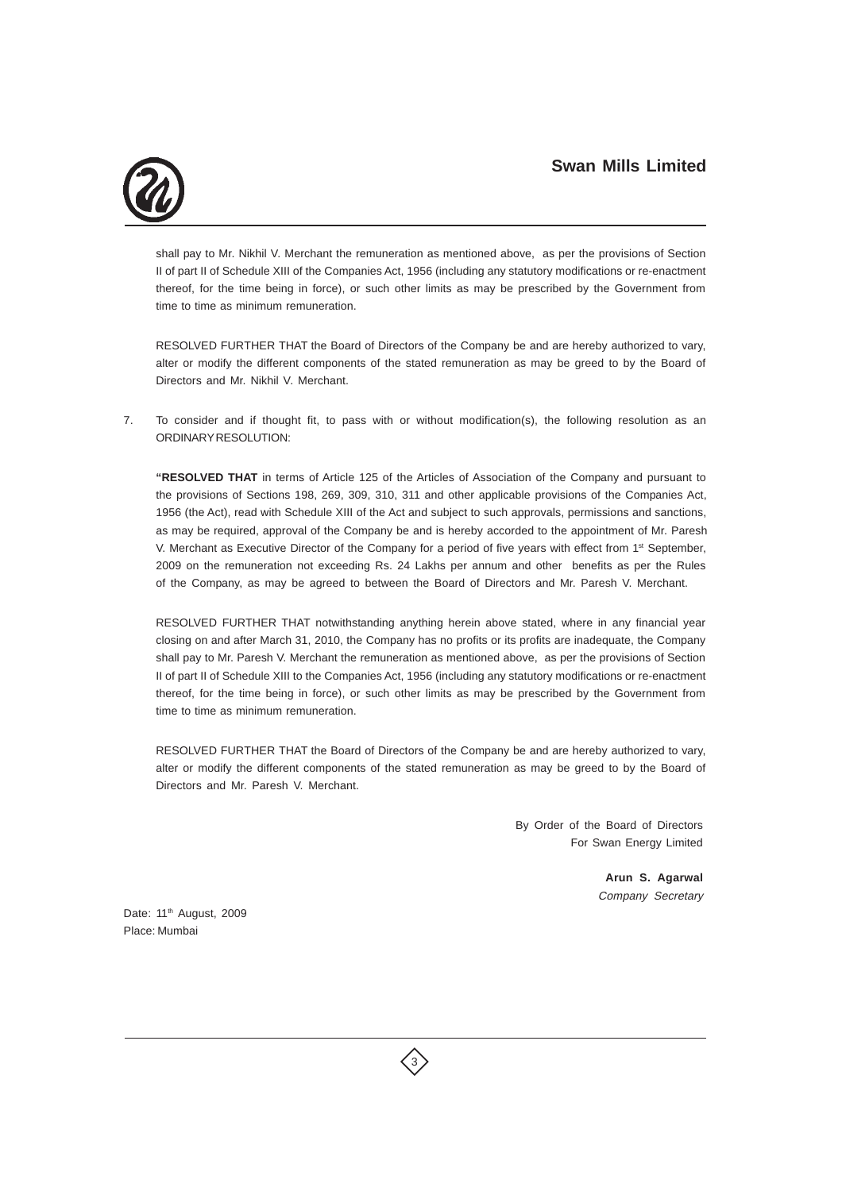

shall pay to Mr. Nikhil V. Merchant the remuneration as mentioned above, as per the provisions of Section II of part II of Schedule XIII of the Companies Act, 1956 (including any statutory modifications or re-enactment thereof, for the time being in force), or such other limits as may be prescribed by the Government from time to time as minimum remuneration.

RESOLVED FURTHER THAT the Board of Directors of the Company be and are hereby authorized to vary, alter or modify the different components of the stated remuneration as may be greed to by the Board of Directors and Mr. Nikhil V. Merchant.

7. To consider and if thought fit, to pass with or without modification(s), the following resolution as an ORDINARY RESOLUTION:

**"RESOLVED THAT** in terms of Article 125 of the Articles of Association of the Company and pursuant to the provisions of Sections 198, 269, 309, 310, 311 and other applicable provisions of the Companies Act, 1956 (the Act), read with Schedule XIII of the Act and subject to such approvals, permissions and sanctions, as may be required, approval of the Company be and is hereby accorded to the appointment of Mr. Paresh V. Merchant as Executive Director of the Company for a period of five years with effect from 1<sup>st</sup> September, 2009 on the remuneration not exceeding Rs. 24 Lakhs per annum and other benefits as per the Rules of the Company, as may be agreed to between the Board of Directors and Mr. Paresh V. Merchant.

RESOLVED FURTHER THAT notwithstanding anything herein above stated, where in any financial year closing on and after March 31, 2010, the Company has no profits or its profits are inadequate, the Company shall pay to Mr. Paresh V. Merchant the remuneration as mentioned above, as per the provisions of Section II of part II of Schedule XIII to the Companies Act, 1956 (including any statutory modifications or re-enactment thereof, for the time being in force), or such other limits as may be prescribed by the Government from time to time as minimum remuneration.

RESOLVED FURTHER THAT the Board of Directors of the Company be and are hereby authorized to vary, alter or modify the different components of the stated remuneration as may be greed to by the Board of Directors and Mr. Paresh V. Merchant.

> By Order of the Board of Directors For Swan Energy Limited

> > **Arun S. Agarwal** Company Secretary

Date: 11<sup>th</sup> August, 2009 Place: Mumbai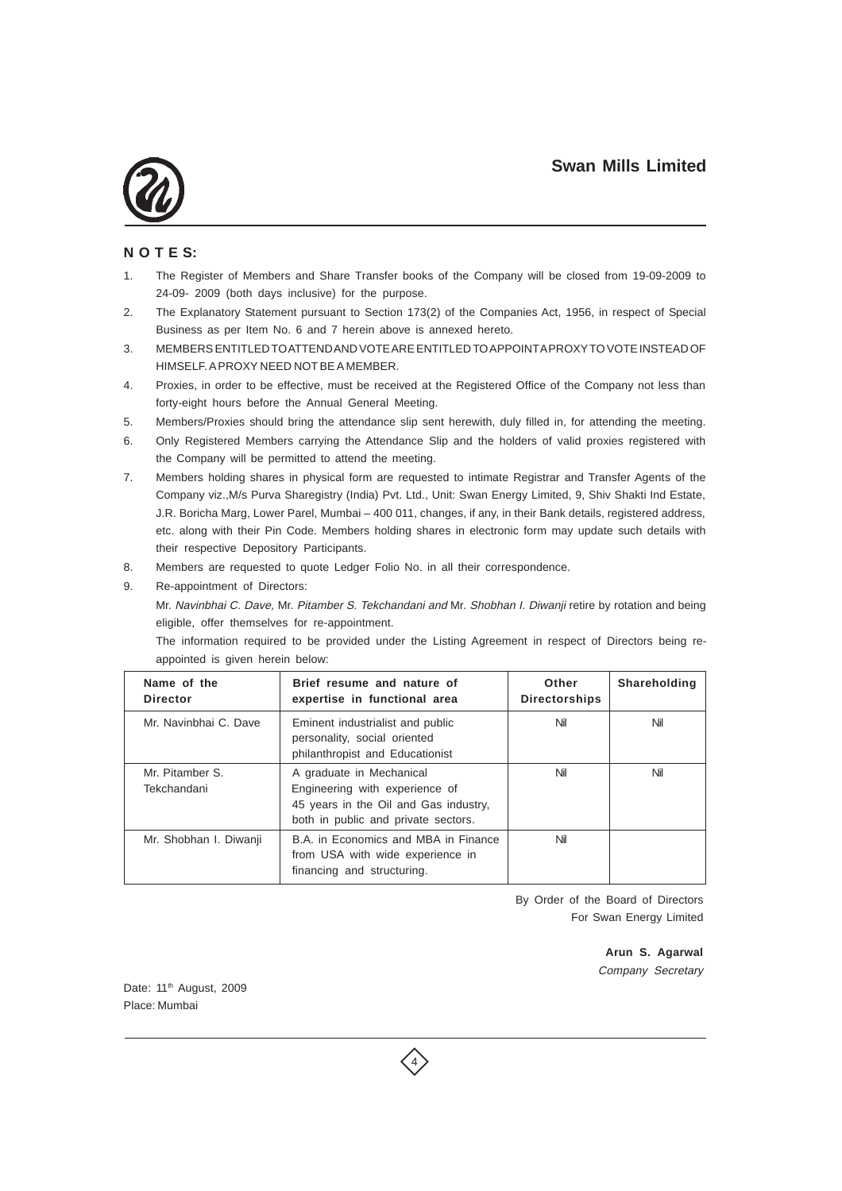

## **N O T E S:**

- 1. The Register of Members and Share Transfer books of the Company will be closed from 19-09-2009 to 24-09- 2009 (both days inclusive) for the purpose.
- 2. The Explanatory Statement pursuant to Section 173(2) of the Companies Act, 1956, in respect of Special Business as per Item No. 6 and 7 herein above is annexed hereto.
- 3. MEMBERS ENTITLED TO ATTEND AND VOTE ARE ENTITLED TO APPOINT A PROXY TO VOTE INSTEAD OF HIMSELF. A PROXY NEED NOT BE A MEMBER.
- 4. Proxies, in order to be effective, must be received at the Registered Office of the Company not less than forty-eight hours before the Annual General Meeting.
- 5. Members/Proxies should bring the attendance slip sent herewith, duly filled in, for attending the meeting.
- 6. Only Registered Members carrying the Attendance Slip and the holders of valid proxies registered with the Company will be permitted to attend the meeting.
- 7. Members holding shares in physical form are requested to intimate Registrar and Transfer Agents of the Company viz.,M/s Purva Sharegistry (India) Pvt. Ltd., Unit: Swan Energy Limited, 9, Shiv Shakti Ind Estate, J.R. Boricha Marg, Lower Parel, Mumbai – 400 011, changes, if any, in their Bank details, registered address, etc. along with their Pin Code. Members holding shares in electronic form may update such details with their respective Depository Participants.
- 8. Members are requested to quote Ledger Folio No. in all their correspondence.
- 9. Re-appointment of Directors:

Mr. Navinbhai C. Dave, Mr. Pitamber S. Tekchandani and Mr. Shobhan I. Diwanji retire by rotation and being eligible, offer themselves for re-appointment.

The information required to be provided under the Listing Agreement in respect of Directors being reappointed is given herein below:

| Name of the<br><b>Director</b> | Brief resume and nature of<br>expertise in functional area                                                                                 | Other<br><b>Directorships</b> | Shareholding |
|--------------------------------|--------------------------------------------------------------------------------------------------------------------------------------------|-------------------------------|--------------|
| Mr. Navinbhai C. Dave          | Eminent industrialist and public<br>personality, social oriented<br>philanthropist and Educationist                                        | Nil                           | Nil          |
| Mr. Pitamber S.<br>Tekchandani | A graduate in Mechanical<br>Engineering with experience of<br>45 years in the Oil and Gas industry,<br>both in public and private sectors. | Nil                           | Nil          |
| Mr. Shobhan I. Diwanji         | B.A. in Economics and MBA in Finance<br>from USA with wide experience in<br>financing and structuring.                                     | Nil                           |              |

By Order of the Board of Directors For Swan Energy Limited

> **Arun S. Agarwal** Company Secretary

Date: 11<sup>th</sup> August, 2009 Place: Mumbai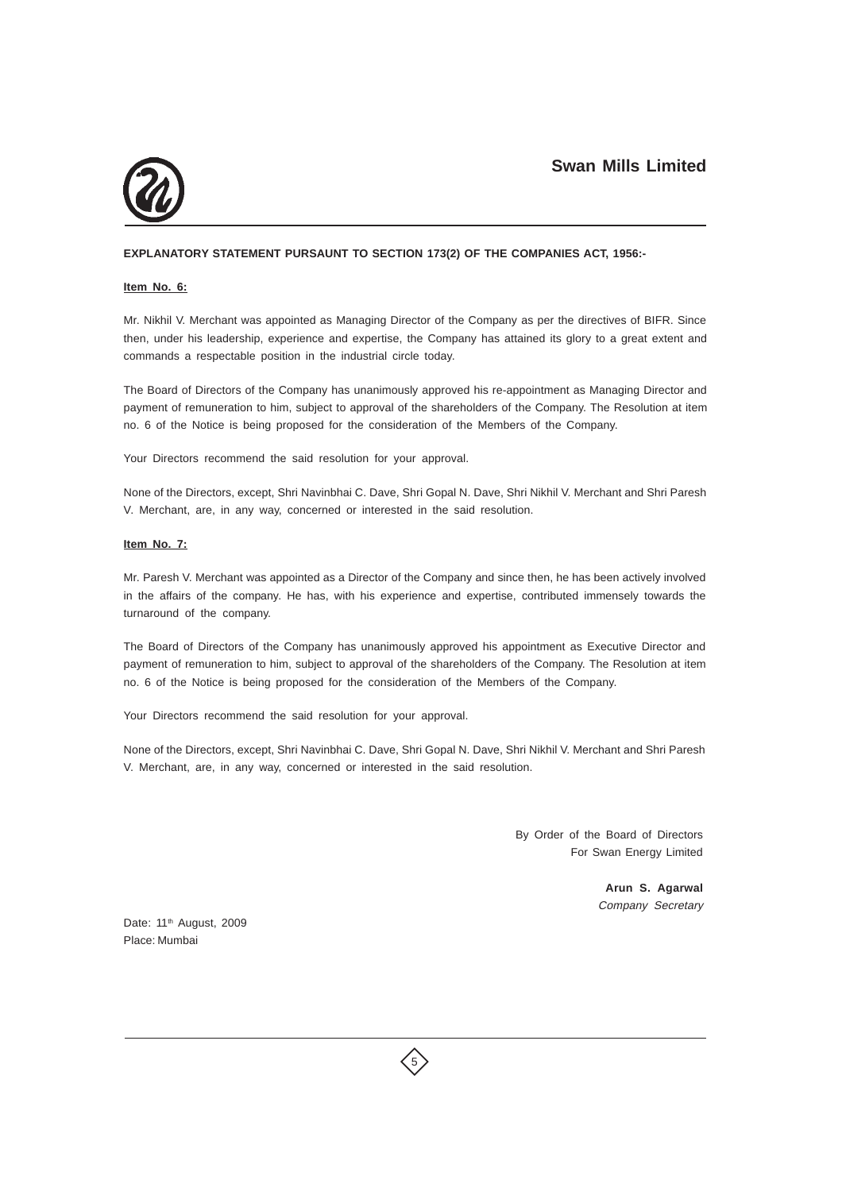

### **EXPLANATORY STATEMENT PURSAUNT TO SECTION 173(2) OF THE COMPANIES ACT, 1956:-**

#### **Item No. 6:**

Mr. Nikhil V. Merchant was appointed as Managing Director of the Company as per the directives of BIFR. Since then, under his leadership, experience and expertise, the Company has attained its glory to a great extent and commands a respectable position in the industrial circle today.

The Board of Directors of the Company has unanimously approved his re-appointment as Managing Director and payment of remuneration to him, subject to approval of the shareholders of the Company. The Resolution at item no. 6 of the Notice is being proposed for the consideration of the Members of the Company.

Your Directors recommend the said resolution for your approval.

None of the Directors, except, Shri Navinbhai C. Dave, Shri Gopal N. Dave, Shri Nikhil V. Merchant and Shri Paresh V. Merchant, are, in any way, concerned or interested in the said resolution.

#### **Item No. 7:**

Mr. Paresh V. Merchant was appointed as a Director of the Company and since then, he has been actively involved in the affairs of the company. He has, with his experience and expertise, contributed immensely towards the turnaround of the company.

The Board of Directors of the Company has unanimously approved his appointment as Executive Director and payment of remuneration to him, subject to approval of the shareholders of the Company. The Resolution at item no. 6 of the Notice is being proposed for the consideration of the Members of the Company.

Your Directors recommend the said resolution for your approval.

None of the Directors, except, Shri Navinbhai C. Dave, Shri Gopal N. Dave, Shri Nikhil V. Merchant and Shri Paresh V. Merchant, are, in any way, concerned or interested in the said resolution.

> By Order of the Board of Directors For Swan Energy Limited

> > **Arun S. Agarwal** Company Secretary

Date: 11<sup>th</sup> August, 2009 Place: Mumbai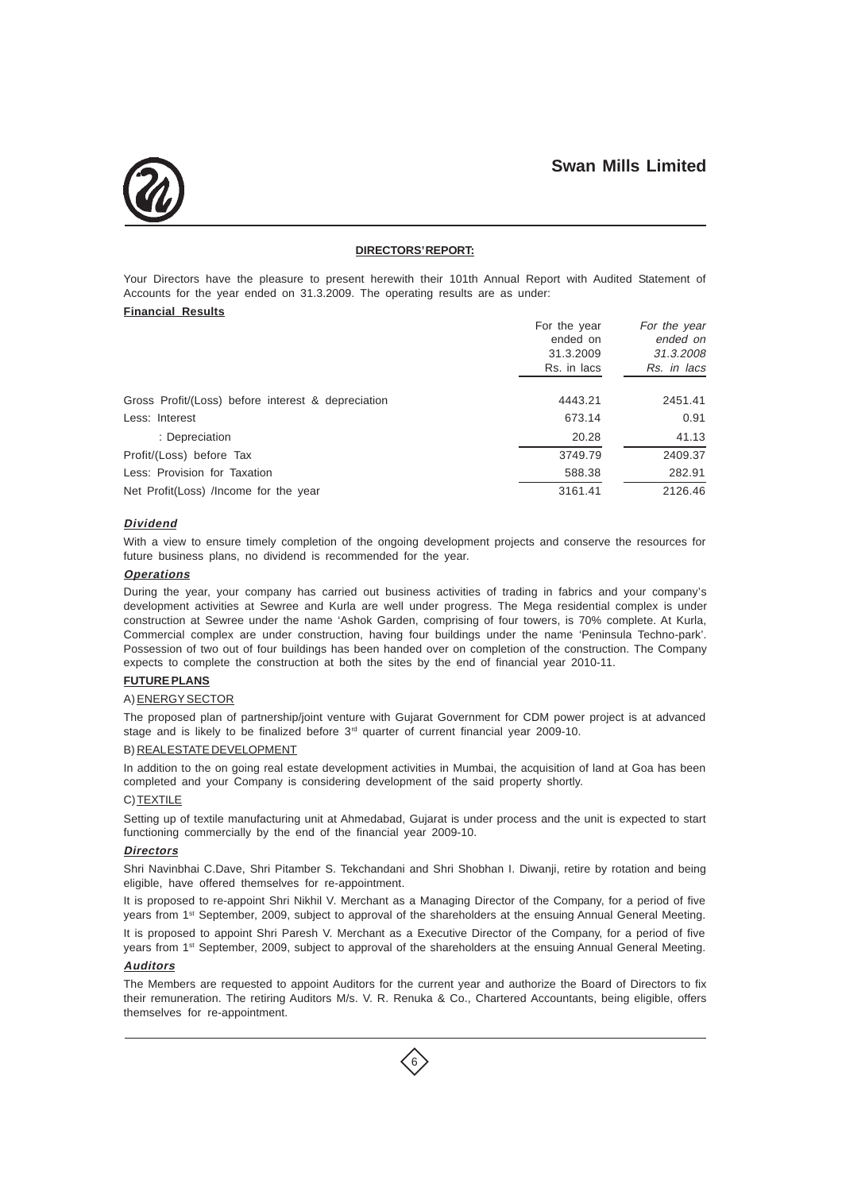

#### **DIRECTORS' REPORT:**

Your Directors have the pleasure to present herewith their 101th Annual Report with Audited Statement of Accounts for the year ended on 31.3.2009. The operating results are as under:

### **Financial Results**

|                                                    | For the year | For the year |
|----------------------------------------------------|--------------|--------------|
|                                                    | ended on     | ended on     |
|                                                    | 31.3.2009    | 31.3.2008    |
|                                                    | Rs. in lacs  | Rs. in lacs  |
| Gross Profit/(Loss) before interest & depreciation | 4443.21      | 2451.41      |
|                                                    |              |              |
| Less: Interest                                     | 673.14       | 0.91         |
| : Depreciation                                     | 20.28        | 41.13        |
| Profit/(Loss) before Tax                           | 3749.79      | 2409.37      |
| Less: Provision for Taxation                       | 588.38       | 282.91       |
| Net Profit(Loss) /Income for the year              | 3161.41      | 2126.46      |

### **Dividend**

With a view to ensure timely completion of the ongoing development projects and conserve the resources for future business plans, no dividend is recommended for the year.

#### **Operations**

During the year, your company has carried out business activities of trading in fabrics and your company's development activities at Sewree and Kurla are well under progress. The Mega residential complex is under construction at Sewree under the name 'Ashok Garden, comprising of four towers, is 70% complete. At Kurla, Commercial complex are under construction, having four buildings under the name 'Peninsula Techno-park'. Possession of two out of four buildings has been handed over on completion of the construction. The Company expects to complete the construction at both the sites by the end of financial year 2010-11.

#### **FUTURE PLANS**

#### A) ENERGY SECTOR

The proposed plan of partnership/joint venture with Gujarat Government for CDM power project is at advanced stage and is likely to be finalized before 3<sup>rd</sup> quarter of current financial year 2009-10.

#### B) REAL ESTATE DEVELOPMENT

In addition to the on going real estate development activities in Mumbai, the acquisition of land at Goa has been completed and your Company is considering development of the said property shortly.

#### C) TEXTILE

Setting up of textile manufacturing unit at Ahmedabad, Gujarat is under process and the unit is expected to start functioning commercially by the end of the financial year 2009-10.

#### **Directors**

Shri Navinbhai C.Dave, Shri Pitamber S. Tekchandani and Shri Shobhan I. Diwanji, retire by rotation and being eligible, have offered themselves for re-appointment.

It is proposed to re-appoint Shri Nikhil V. Merchant as a Managing Director of the Company, for a period of five years from 1st September, 2009, subject to approval of the shareholders at the ensuing Annual General Meeting.

It is proposed to appoint Shri Paresh V. Merchant as a Executive Director of the Company, for a period of five years from 1st September, 2009, subject to approval of the shareholders at the ensuing Annual General Meeting.

#### **Auditors**

The Members are requested to appoint Auditors for the current year and authorize the Board of Directors to fix their remuneration. The retiring Auditors M/s. V. R. Renuka & Co., Chartered Accountants, being eligible, offers themselves for re-appointment.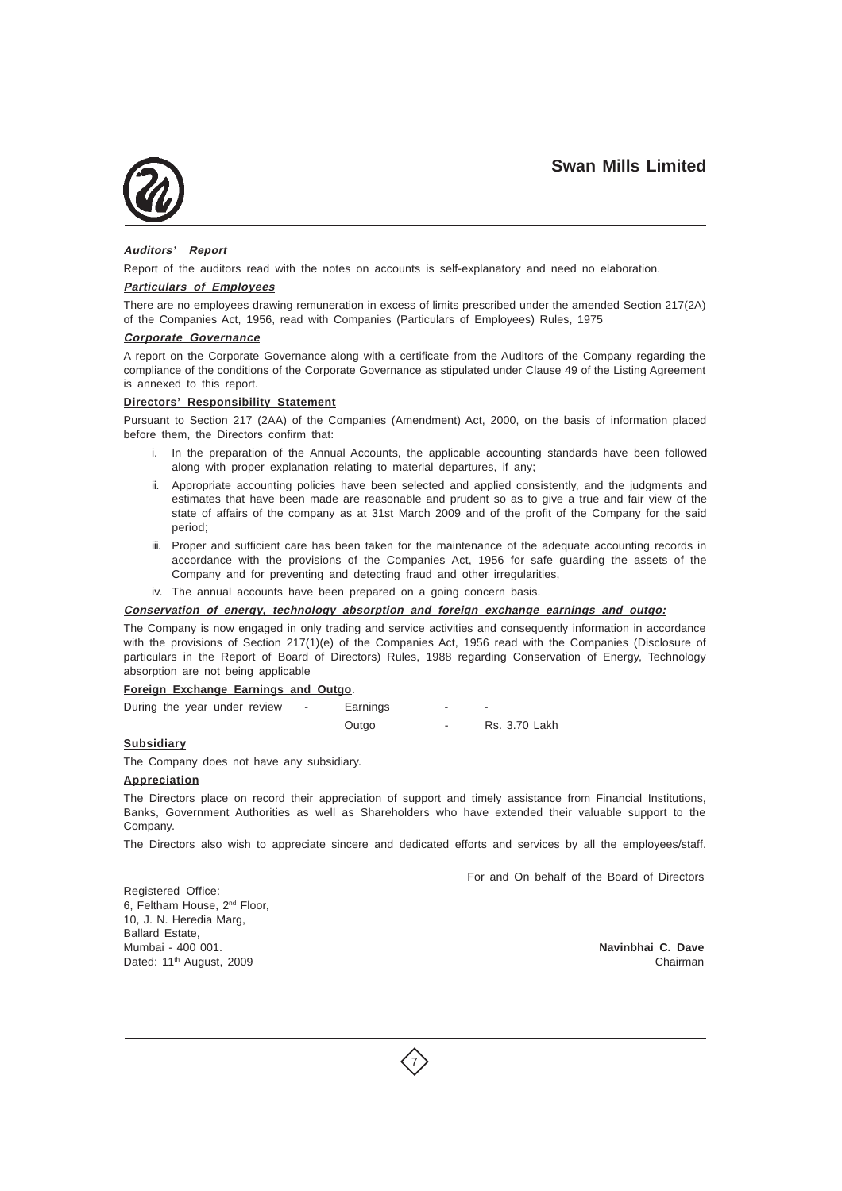

### **Auditors' Report**

Report of the auditors read with the notes on accounts is self-explanatory and need no elaboration.

#### **Particulars of Employees**

There are no employees drawing remuneration in excess of limits prescribed under the amended Section 217(2A) of the Companies Act, 1956, read with Companies (Particulars of Employees) Rules, 1975

#### **Corporate Governance**

A report on the Corporate Governance along with a certificate from the Auditors of the Company regarding the compliance of the conditions of the Corporate Governance as stipulated under Clause 49 of the Listing Agreement is annexed to this report.

### **Directors' Responsibility Statement**

Pursuant to Section 217 (2AA) of the Companies (Amendment) Act, 2000, on the basis of information placed before them, the Directors confirm that:

- i. In the preparation of the Annual Accounts, the applicable accounting standards have been followed along with proper explanation relating to material departures, if any;
- ii. Appropriate accounting policies have been selected and applied consistently, and the judgments and estimates that have been made are reasonable and prudent so as to give a true and fair view of the state of affairs of the company as at 31st March 2009 and of the profit of the Company for the said period;
- iii. Proper and sufficient care has been taken for the maintenance of the adequate accounting records in accordance with the provisions of the Companies Act, 1956 for safe guarding the assets of the Company and for preventing and detecting fraud and other irregularities,
- iv. The annual accounts have been prepared on a going concern basis.

#### **Conservation of energy, technology absorption and foreign exchange earnings and outgo:**

The Company is now engaged in only trading and service activities and consequently information in accordance with the provisions of Section 217(1)(e) of the Companies Act, 1956 read with the Companies (Disclosure of particulars in the Report of Board of Directors) Rules, 1988 regarding Conservation of Energy, Technology absorption are not being applicable

### **Foreign Exchange Earnings and Outgo**.

| During the year under review |  | $\sim$ 100 $\sim$ | Earnings | -      |               |
|------------------------------|--|-------------------|----------|--------|---------------|
|                              |  |                   | Outgo    | $\sim$ | Rs. 3.70 Lakh |

## **Subsidiary**

The Company does not have any subsidiary.

#### **Appreciation**

The Directors place on record their appreciation of support and timely assistance from Financial Institutions, Banks, Government Authorities as well as Shareholders who have extended their valuable support to the Company.

The Directors also wish to appreciate sincere and dedicated efforts and services by all the employees/staff.

For and On behalf of the Board of Directors

Registered Office: 6, Feltham House, 2nd Floor, 10, J. N. Heredia Marg, Ballard Estate, Mumbai - 400 001. **Navinbhai C. Dave** Dated: 11<sup>th</sup> August, 2009 **Chairman** 

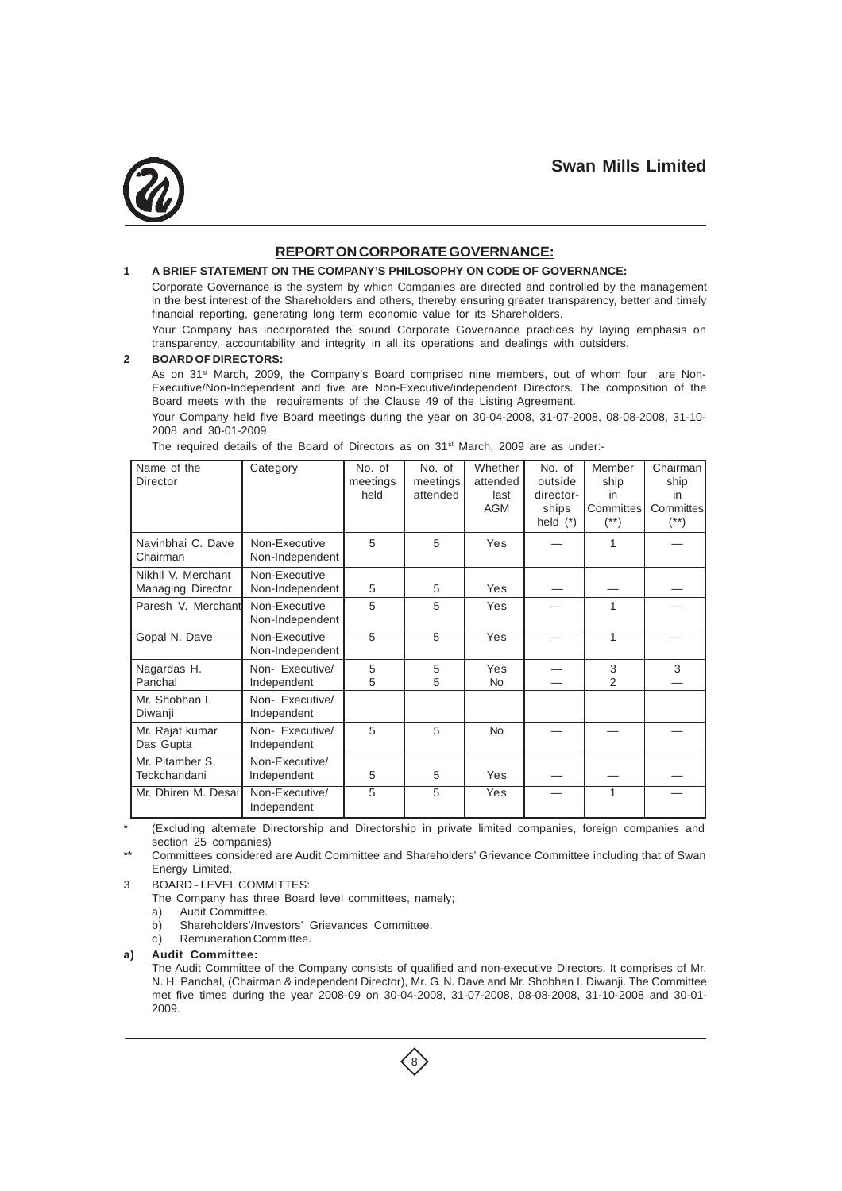

## **REPORT ON CORPORATE GOVERNANCE:**

### **1 A BRIEF STATEMENT ON THE COMPANY'S PHILOSOPHY ON CODE OF GOVERNANCE:**

Corporate Governance is the system by which Companies are directed and controlled by the management in the best interest of the Shareholders and others, thereby ensuring greater transparency, better and timely financial reporting, generating long term economic value for its Shareholders.

Your Company has incorporated the sound Corporate Governance practices by laying emphasis on transparency, accountability and integrity in all its operations and dealings with outsiders.

#### **2 BOARD OF DIRECTORS:**

As on 31<sup>st</sup> March, 2009, the Company's Board comprised nine members, out of whom four are Non-Executive/Non-Independent and five are Non-Executive/independent Directors. The composition of the Board meets with the requirements of the Clause 49 of the Listing Agreement.

Your Company held five Board meetings during the year on 30-04-2008, 31-07-2008, 08-08-2008, 31-10- 2008 and 30-01-2009.

| Name of the<br>Director                        | Category                         | No. of<br>meetings<br>held | No. of<br>meetings<br>attended | Whether<br>attended<br>last<br><b>AGM</b> | No. of<br>outside<br>director-<br>ships<br>held $(*)$ | Member<br>ship<br>in<br>Committes<br>$^{(*)}$ | Chairman<br>ship<br>in.<br>Committes<br>$^{(*)}$ |
|------------------------------------------------|----------------------------------|----------------------------|--------------------------------|-------------------------------------------|-------------------------------------------------------|-----------------------------------------------|--------------------------------------------------|
| Navinbhai C. Dave<br>Chairman                  | Non-Executive<br>Non-Independent | 5                          | 5                              | Yes                                       |                                                       | 1                                             |                                                  |
| Nikhil V. Merchant<br><b>Managing Director</b> | Non-Executive<br>Non-Independent | 5                          | 5                              | Yes                                       |                                                       |                                               |                                                  |
| Paresh V. Merchant                             | Non-Executive<br>Non-Independent | 5                          | 5                              | Yes                                       |                                                       | 1                                             |                                                  |
| Gopal N. Dave                                  | Non-Executive<br>Non-Independent | 5                          | 5                              | Yes                                       |                                                       | 1                                             |                                                  |
| Nagardas H.<br>Panchal                         | Non- Executive/<br>Independent   | 5<br>5                     | 5<br>5                         | Yes<br><b>No</b>                          |                                                       | 3<br>$\overline{2}$                           | 3                                                |
| Mr. Shobhan I.<br>Diwanji                      | Non- Executive/<br>Independent   |                            |                                |                                           |                                                       |                                               |                                                  |
| Mr. Rajat kumar<br>Das Gupta                   | Non- Executive/<br>Independent   | 5                          | 5                              | <b>No</b>                                 |                                                       |                                               |                                                  |
| Mr. Pitamber S.<br>Teckchandani                | Non-Executive/<br>Independent    | 5                          | 5                              | Yes                                       |                                                       |                                               |                                                  |
| Mr. Dhiren M. Desail                           | Non-Executive/<br>Independent    | 5                          | 5                              | Yes                                       |                                                       | 1                                             |                                                  |

The required details of the Board of Directors as on  $31<sup>st</sup>$  March, 2009 are as under:-

(Excluding alternate Directorship and Directorship in private limited companies, foreign companies and section 25 companies)

Committees considered are Audit Committee and Shareholders' Grievance Committee including that of Swan Energy Limited.

3 BOARD - LEVEL COMMITTES:

The Company has three Board level committees, namely;

a) Audit Committee.<br>b) Shareholders'/Inv

Shareholders'/Investors' Grievances Committee.

c) Remuneration Committee.

## **a) Audit Committee:**

The Audit Committee of the Company consists of qualified and non-executive Directors. It comprises of Mr. N. H. Panchal, (Chairman & independent Director), Mr. G. N. Dave and Mr. Shobhan I. Diwanji. The Committee met five times during the year 2008-09 on 30-04-2008, 31-07-2008, 08-08-2008, 31-10-2008 and 30-01- 2009.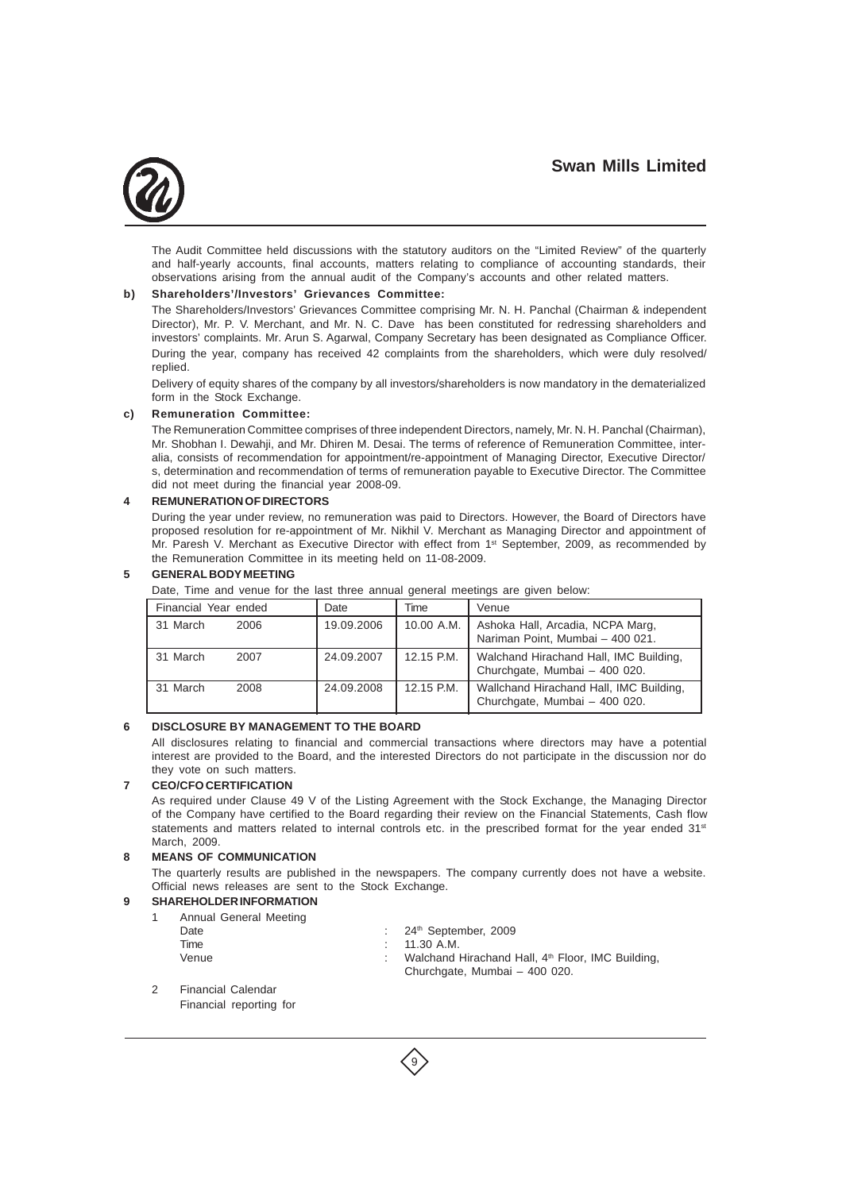

The Audit Committee held discussions with the statutory auditors on the "Limited Review" of the quarterly and half-yearly accounts, final accounts, matters relating to compliance of accounting standards, their observations arising from the annual audit of the Company's accounts and other related matters.

#### **b) Shareholders'/Investors' Grievances Committee:**

The Shareholders/Investors' Grievances Committee comprising Mr. N. H. Panchal (Chairman & independent Director), Mr. P. V. Merchant, and Mr. N. C. Dave has been constituted for redressing shareholders and investors' complaints. Mr. Arun S. Agarwal, Company Secretary has been designated as Compliance Officer. During the year, company has received 42 complaints from the shareholders, which were duly resolved/ replied.

Delivery of equity shares of the company by all investors/shareholders is now mandatory in the dematerialized form in the Stock Exchange.

#### **c) Remuneration Committee:**

The Remuneration Committee comprises of three independent Directors, namely, Mr. N. H. Panchal (Chairman), Mr. Shobhan I. Dewahji, and Mr. Dhiren M. Desai. The terms of reference of Remuneration Committee, interalia, consists of recommendation for appointment/re-appointment of Managing Director, Executive Director/ s, determination and recommendation of terms of remuneration payable to Executive Director. The Committee did not meet during the financial year 2008-09.

#### **4 REMUNERATION OF DIRECTORS**

During the year under review, no remuneration was paid to Directors. However, the Board of Directors have proposed resolution for re-appointment of Mr. Nikhil V. Merchant as Managing Director and appointment of Mr. Paresh V. Merchant as Executive Director with effect from 1<sup>st</sup> September, 2009, as recommended by the Remuneration Committee in its meeting held on 11-08-2009.

#### **5 GENERAL BODY MEETING**

Date, Time and venue for the last three annual general meetings are given below:

| Financial Year ended | Date       | Time       | Venue                                                                    |
|----------------------|------------|------------|--------------------------------------------------------------------------|
| 31 March<br>2006     | 19.09.2006 | 10.00 A.M. | Ashoka Hall, Arcadia, NCPA Marg,<br>Nariman Point, Mumbai - 400 021.     |
| 31 March<br>2007     | 24.09.2007 | 12.15 P.M. | Walchand Hirachand Hall, IMC Building,<br>Churchgate, Mumbai - 400 020.  |
| 31 March<br>2008     | 24.09.2008 | 12.15 P.M. | Wallchand Hirachand Hall, IMC Building,<br>Churchgate, Mumbai - 400 020. |

#### **6 DISCLOSURE BY MANAGEMENT TO THE BOARD**

All disclosures relating to financial and commercial transactions where directors may have a potential interest are provided to the Board, and the interested Directors do not participate in the discussion nor do they vote on such matters.

#### **7 CEO/CFO CERTIFICATION**

As required under Clause 49 V of the Listing Agreement with the Stock Exchange, the Managing Director of the Company have certified to the Board regarding their review on the Financial Statements, Cash flow statements and matters related to internal controls etc. in the prescribed format for the year ended 31<sup>st</sup> March, 2009.

#### **8 MEANS OF COMMUNICATION**

The quarterly results are published in the newspapers. The company currently does not have a website. Official news releases are sent to the Stock Exchange.

### **9 SHAREHOLDER INFORMATION**

| Annual General Meeting |                                                               |
|------------------------|---------------------------------------------------------------|
| Date                   | : $24th$ September, 2009                                      |
| Time                   | $\therefore$ 11.30 A.M.                                       |
| Venue                  | Walchand Hirachand Hall, 4 <sup>th</sup> Floor, IMC Building, |
|                        | Churchgate, Mumbai - 400 020.                                 |

9

2 Financial Calendar

Financial reporting for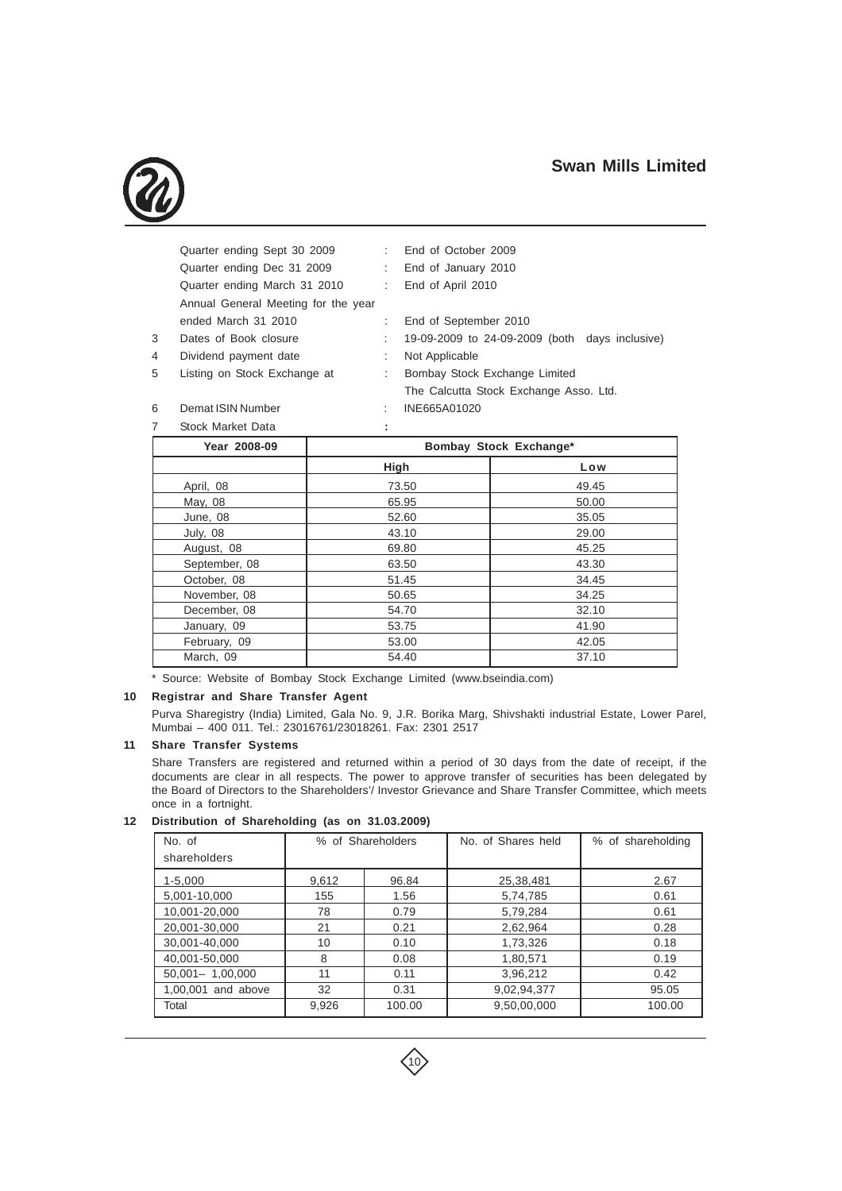

|    | Quarter ending Sept 30 2009         | t.               | End of October 2009                            |  |
|----|-------------------------------------|------------------|------------------------------------------------|--|
|    | Quarter ending Dec 31 2009          | $\mathbb{R}^{n}$ | End of January 2010                            |  |
|    | Quarter ending March 31 2010        |                  | : End of April 2010                            |  |
|    | Annual General Meeting for the year |                  |                                                |  |
|    | ended March 31 2010                 |                  | End of September 2010                          |  |
| 3. | Dates of Book closure               |                  | 19-09-2009 to 24-09-2009 (both days inclusive) |  |
| 4  | Dividend payment date               | ÷                | Not Applicable                                 |  |
| 5. | Listing on Stock Exchange at        | ÷                | Bombay Stock Exchange Limited                  |  |
|    |                                     |                  |                                                |  |

The Calcutta Stock Exchange Asso. Ltd.

- 
- 6 Demat ISIN Number : INE665A01020

7 Stock Market Data **: Year 2008-09 Bombay Stock Exchange\* High Low** April, 08 49.45 May, 08 65.95 65.95 65.95 65.95 65.95 66.00 June, 08 35.05 July, 08 29.00 August, 08 69.80 69.80 45.25 September, 08 (3.50) 63.50 October, 08 51.45 51.45 November, 08 34.25 December, 08 54.70 32.10 January, 09 33.75 41.90 February, 09 12.05 March, 09 54.40 37.10

\* Source: Website of Bombay Stock Exchange Limited (www.bseindia.com)

### **10 Registrar and Share Transfer Agent**

Purva Sharegistry (India) Limited, Gala No. 9, J.R. Borika Marg, Shivshakti industrial Estate, Lower Parel, Mumbai – 400 011. Tel.: 23016761/23018261. Fax: 2301 2517

#### **11 Share Transfer Systems**

Share Transfers are registered and returned within a period of 30 days from the date of receipt, if the documents are clear in all respects. The power to approve transfer of securities has been delegated by the Board of Directors to the Shareholders'/ Investor Grievance and Share Transfer Committee, which meets once in a fortnight.

#### **12 Distribution of Shareholding (as on 31.03.2009)**

| No. of              | % of Shareholders |        | No. of Shares held | % of shareholding |
|---------------------|-------------------|--------|--------------------|-------------------|
| shareholders        |                   |        |                    |                   |
| $1 - 5,000$         | 9,612             | 96.84  | 25,38,481          | 2.67              |
| 5,001-10,000        | 155               | 1.56   | 5,74,785           | 0.61              |
| 10,001-20,000       | 78                | 0.79   | 5,79,284           | 0.61              |
| 20,001-30,000       | 21                | 0.21   | 2,62,964           | 0.28              |
| 30,001-40,000       | 10                | 0.10   | 1,73,326           | 0.18              |
| 40,001-50,000       | 8                 | 0.08   | 1,80,571           | 0.19              |
| $50,001 - 1,00,000$ | 11                | 0.11   | 3,96,212           | 0.42              |
| 1,00,001 and above  | 32                | 0.31   | 9,02,94,377        | 95.05             |
| Total               | 9,926             | 100.00 | 9,50,00,000        | 100.00            |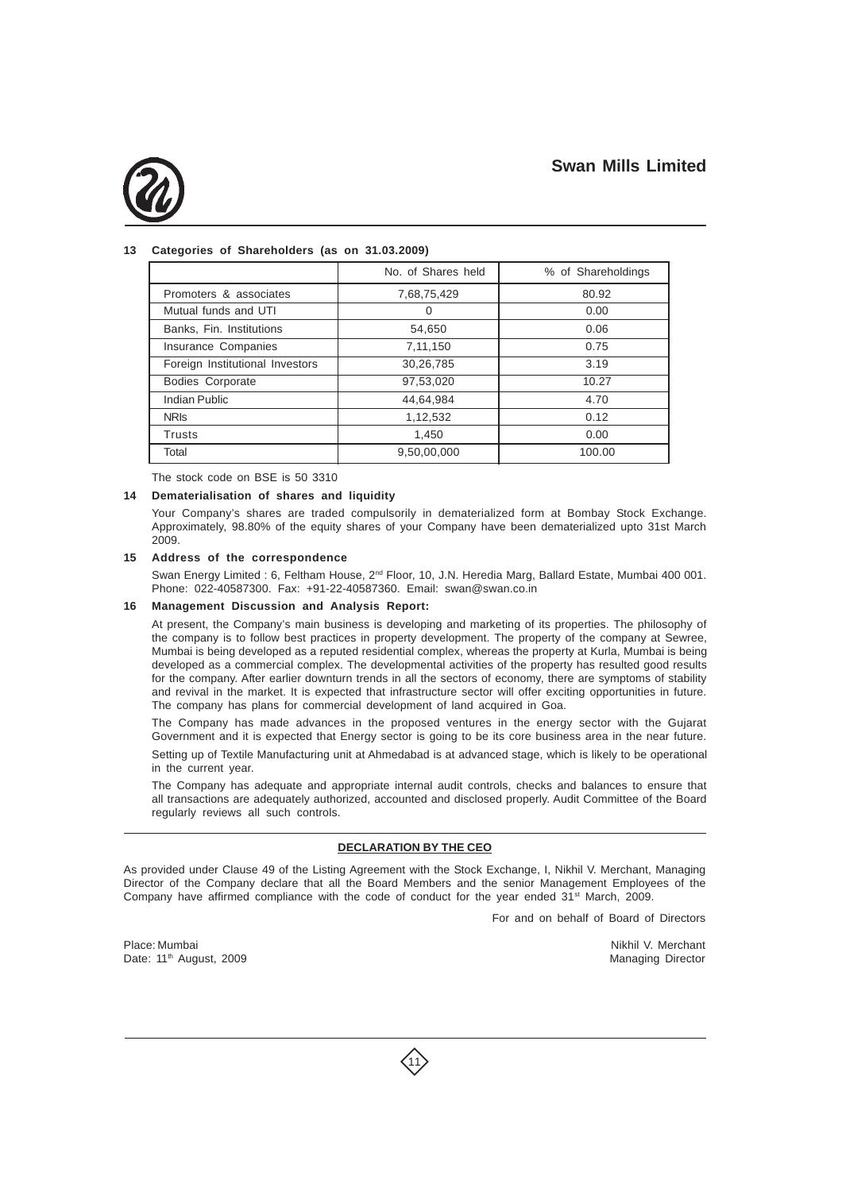

### **13 Categories of Shareholders (as on 31.03.2009)**

|                                 | No. of Shares held | % of Shareholdings |
|---------------------------------|--------------------|--------------------|
| Promoters & associates          | 7,68,75,429        | 80.92              |
| Mutual funds and UTI            | 0                  | 0.00               |
| Banks, Fin. Institutions        | 54,650             | 0.06               |
| Insurance Companies             | 7,11,150           | 0.75               |
| Foreign Institutional Investors | 30,26,785          | 3.19               |
| Bodies Corporate                | 97,53,020          | 10.27              |
| Indian Public                   | 44,64,984          | 4.70               |
| <b>NRIS</b>                     | 1,12,532           | 0.12               |
| <b>Trusts</b>                   | 1,450              | 0.00               |
| Total                           | 9,50,00,000        | 100.00             |

The stock code on BSE is 50 3310

#### **14 Dematerialisation of shares and liquidity**

Your Company's shares are traded compulsorily in dematerialized form at Bombay Stock Exchange. Approximately, 98.80% of the equity shares of your Company have been dematerialized upto 31st March 2009.

#### **15 Address of the correspondence**

Swan Energy Limited : 6, Feltham House, 2<sup>nd</sup> Floor, 10, J.N. Heredia Marg, Ballard Estate, Mumbai 400 001. Phone: 022-40587300. Fax: +91-22-40587360. Email: swan@swan.co.in

#### **16 Management Discussion and Analysis Report:**

At present, the Company's main business is developing and marketing of its properties. The philosophy of the company is to follow best practices in property development. The property of the company at Sewree, Mumbai is being developed as a reputed residential complex, whereas the property at Kurla, Mumbai is being developed as a commercial complex. The developmental activities of the property has resulted good results for the company. After earlier downturn trends in all the sectors of economy, there are symptoms of stability and revival in the market. It is expected that infrastructure sector will offer exciting opportunities in future. The company has plans for commercial development of land acquired in Goa.

The Company has made advances in the proposed ventures in the energy sector with the Gujarat Government and it is expected that Energy sector is going to be its core business area in the near future. Setting up of Textile Manufacturing unit at Ahmedabad is at advanced stage, which is likely to be operational in the current year.

The Company has adequate and appropriate internal audit controls, checks and balances to ensure that all transactions are adequately authorized, accounted and disclosed properly. Audit Committee of the Board regularly reviews all such controls.

#### **DECLARATION BY THE CEO**

As provided under Clause 49 of the Listing Agreement with the Stock Exchange, I, Nikhil V. Merchant, Managing Director of the Company declare that all the Board Members and the senior Management Employees of the Company have affirmed compliance with the code of conduct for the year ended  $31<sup>st</sup>$  March, 2009.

11

For and on behalf of Board of Directors

Place: Mumbai Nikhil V. Merchant Date: 11<sup>th</sup> August, 2009 **Managing Director** Managing Director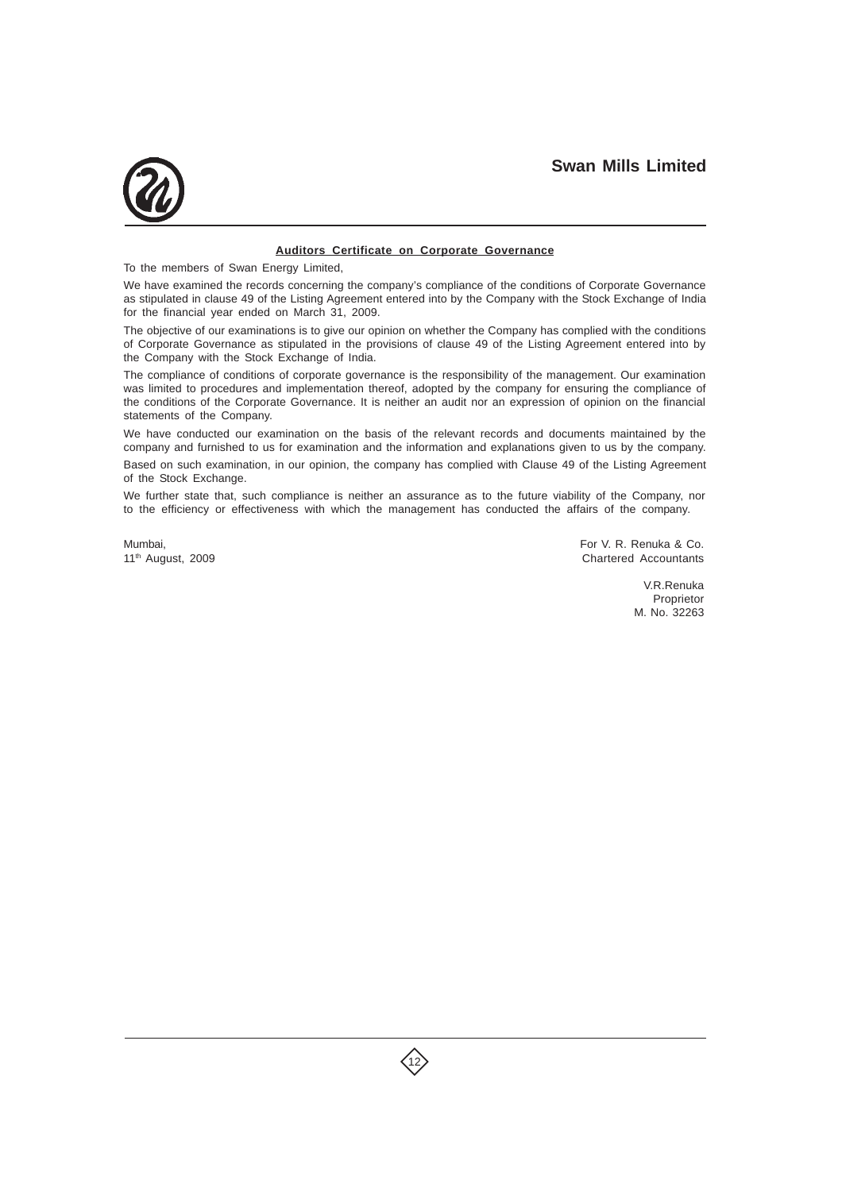

#### **Auditors Certificate on Corporate Governance**

To the members of Swan Energy Limited,

We have examined the records concerning the company's compliance of the conditions of Corporate Governance as stipulated in clause 49 of the Listing Agreement entered into by the Company with the Stock Exchange of India for the financial year ended on March 31, 2009.

The objective of our examinations is to give our opinion on whether the Company has complied with the conditions of Corporate Governance as stipulated in the provisions of clause 49 of the Listing Agreement entered into by the Company with the Stock Exchange of India.

The compliance of conditions of corporate governance is the responsibility of the management. Our examination was limited to procedures and implementation thereof, adopted by the company for ensuring the compliance of the conditions of the Corporate Governance. It is neither an audit nor an expression of opinion on the financial statements of the Company.

We have conducted our examination on the basis of the relevant records and documents maintained by the company and furnished to us for examination and the information and explanations given to us by the company. Based on such examination, in our opinion, the company has complied with Clause 49 of the Listing Agreement of the Stock Exchange.

We further state that, such compliance is neither an assurance as to the future viability of the Company, nor to the efficiency or effectiveness with which the management has conducted the affairs of the company.

Mumbai, For V. R. Renuka & Co. 11<sup>th</sup> August, 2009 **Chartered Accountants** 

> V.R.Renuka Proprietor M. No. 32263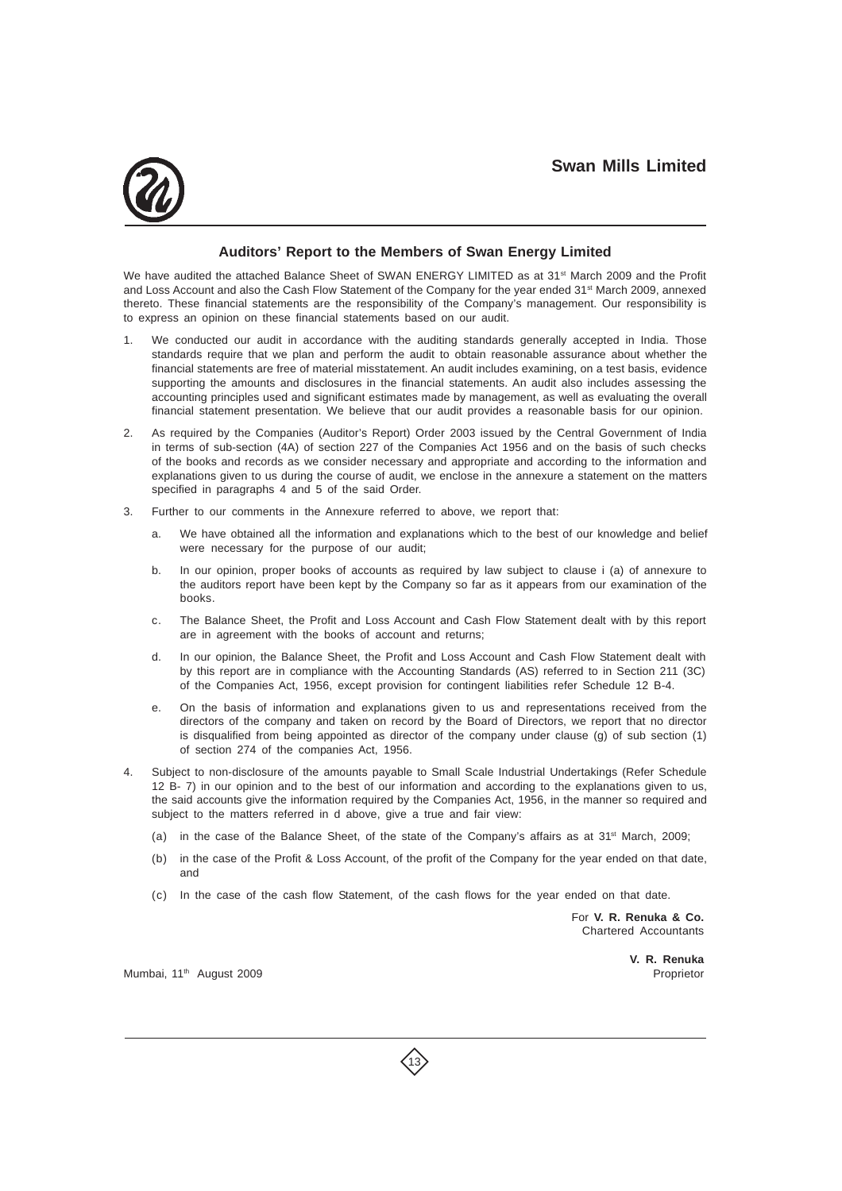

## **Auditors' Report to the Members of Swan Energy Limited**

We have audited the attached Balance Sheet of SWAN ENERGY LIMITED as at 31<sup>st</sup> March 2009 and the Profit and Loss Account and also the Cash Flow Statement of the Company for the year ended 31<sup>st</sup> March 2009, annexed thereto. These financial statements are the responsibility of the Company's management. Our responsibility is to express an opinion on these financial statements based on our audit.

- 1. We conducted our audit in accordance with the auditing standards generally accepted in India. Those standards require that we plan and perform the audit to obtain reasonable assurance about whether the financial statements are free of material misstatement. An audit includes examining, on a test basis, evidence supporting the amounts and disclosures in the financial statements. An audit also includes assessing the accounting principles used and significant estimates made by management, as well as evaluating the overall financial statement presentation. We believe that our audit provides a reasonable basis for our opinion.
- 2. As required by the Companies (Auditor's Report) Order 2003 issued by the Central Government of India in terms of sub-section (4A) of section 227 of the Companies Act 1956 and on the basis of such checks of the books and records as we consider necessary and appropriate and according to the information and explanations given to us during the course of audit, we enclose in the annexure a statement on the matters specified in paragraphs 4 and 5 of the said Order.
- 3. Further to our comments in the Annexure referred to above, we report that:
	- a. We have obtained all the information and explanations which to the best of our knowledge and belief were necessary for the purpose of our audit;
	- b. In our opinion, proper books of accounts as required by law subject to clause i (a) of annexure to the auditors report have been kept by the Company so far as it appears from our examination of the books.
	- c. The Balance Sheet, the Profit and Loss Account and Cash Flow Statement dealt with by this report are in agreement with the books of account and returns;
	- d. In our opinion, the Balance Sheet, the Profit and Loss Account and Cash Flow Statement dealt with by this report are in compliance with the Accounting Standards (AS) referred to in Section 211 (3C) of the Companies Act, 1956, except provision for contingent liabilities refer Schedule 12 B-4.
	- e. On the basis of information and explanations given to us and representations received from the directors of the company and taken on record by the Board of Directors, we report that no director is disqualified from being appointed as director of the company under clause (g) of sub section (1) of section 274 of the companies Act, 1956.
- 4. Subject to non-disclosure of the amounts payable to Small Scale Industrial Undertakings (Refer Schedule 12 B- 7) in our opinion and to the best of our information and according to the explanations given to us, the said accounts give the information required by the Companies Act, 1956, in the manner so required and subject to the matters referred in d above, give a true and fair view:
	- (a) in the case of the Balance Sheet, of the state of the Company's affairs as at  $31<sup>st</sup>$  March, 2009;
	- (b) in the case of the Profit & Loss Account, of the profit of the Company for the year ended on that date, and
	- (c) In the case of the cash flow Statement, of the cash flows for the year ended on that date.

13

For **V. R. Renuka & Co.** Chartered Accountants

**V. R. Renuka**

Mumbai, 11<sup>th</sup> August 2009 **Proprietor** August 2009 **Proprietor** Proprietor August 2009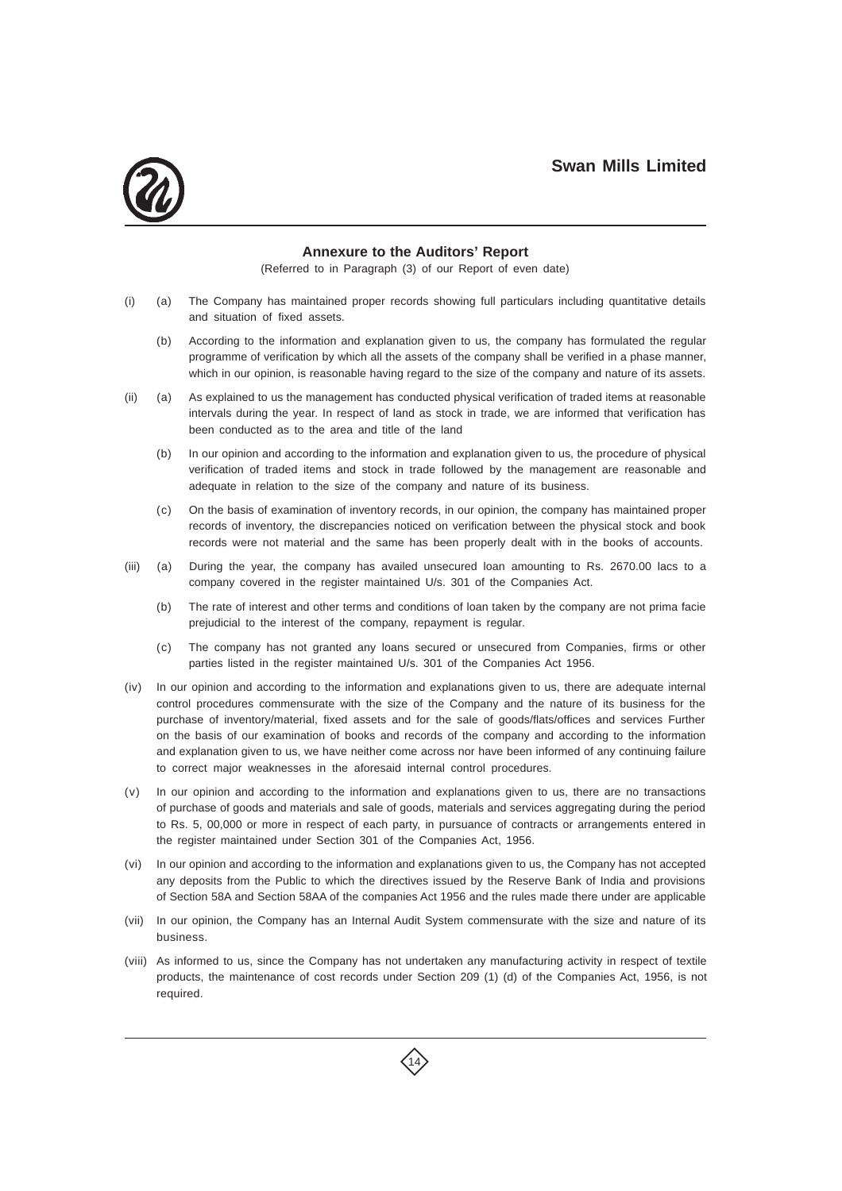

### **Annexure to the Auditors' Report**

(Referred to in Paragraph (3) of our Report of even date)

- (i) (a) The Company has maintained proper records showing full particulars including quantitative details and situation of fixed assets.
	- (b) According to the information and explanation given to us, the company has formulated the regular programme of verification by which all the assets of the company shall be verified in a phase manner, which in our opinion, is reasonable having regard to the size of the company and nature of its assets.
- (ii) (a) As explained to us the management has conducted physical verification of traded items at reasonable intervals during the year. In respect of land as stock in trade, we are informed that verification has been conducted as to the area and title of the land
	- (b) In our opinion and according to the information and explanation given to us, the procedure of physical verification of traded items and stock in trade followed by the management are reasonable and adequate in relation to the size of the company and nature of its business.
	- (c) On the basis of examination of inventory records, in our opinion, the company has maintained proper records of inventory, the discrepancies noticed on verification between the physical stock and book records were not material and the same has been properly dealt with in the books of accounts.
- (iii) (a) During the year, the company has availed unsecured loan amounting to Rs. 2670.00 lacs to a company covered in the register maintained U/s. 301 of the Companies Act.
	- (b) The rate of interest and other terms and conditions of loan taken by the company are not prima facie prejudicial to the interest of the company, repayment is regular.
	- (c) The company has not granted any loans secured or unsecured from Companies, firms or other parties listed in the register maintained U/s. 301 of the Companies Act 1956.
- (iv) In our opinion and according to the information and explanations given to us, there are adequate internal control procedures commensurate with the size of the Company and the nature of its business for the purchase of inventory/material, fixed assets and for the sale of goods/flats/offices and services Further on the basis of our examination of books and records of the company and according to the information and explanation given to us, we have neither come across nor have been informed of any continuing failure to correct major weaknesses in the aforesaid internal control procedures.
- (v) In our opinion and according to the information and explanations given to us, there are no transactions of purchase of goods and materials and sale of goods, materials and services aggregating during the period to Rs. 5, 00,000 or more in respect of each party, in pursuance of contracts or arrangements entered in the register maintained under Section 301 of the Companies Act, 1956.
- (vi) In our opinion and according to the information and explanations given to us, the Company has not accepted any deposits from the Public to which the directives issued by the Reserve Bank of India and provisions of Section 58A and Section 58AA of the companies Act 1956 and the rules made there under are applicable
- (vii) In our opinion, the Company has an Internal Audit System commensurate with the size and nature of its business.
- (viii) As informed to us, since the Company has not undertaken any manufacturing activity in respect of textile products, the maintenance of cost records under Section 209 (1) (d) of the Companies Act, 1956, is not required.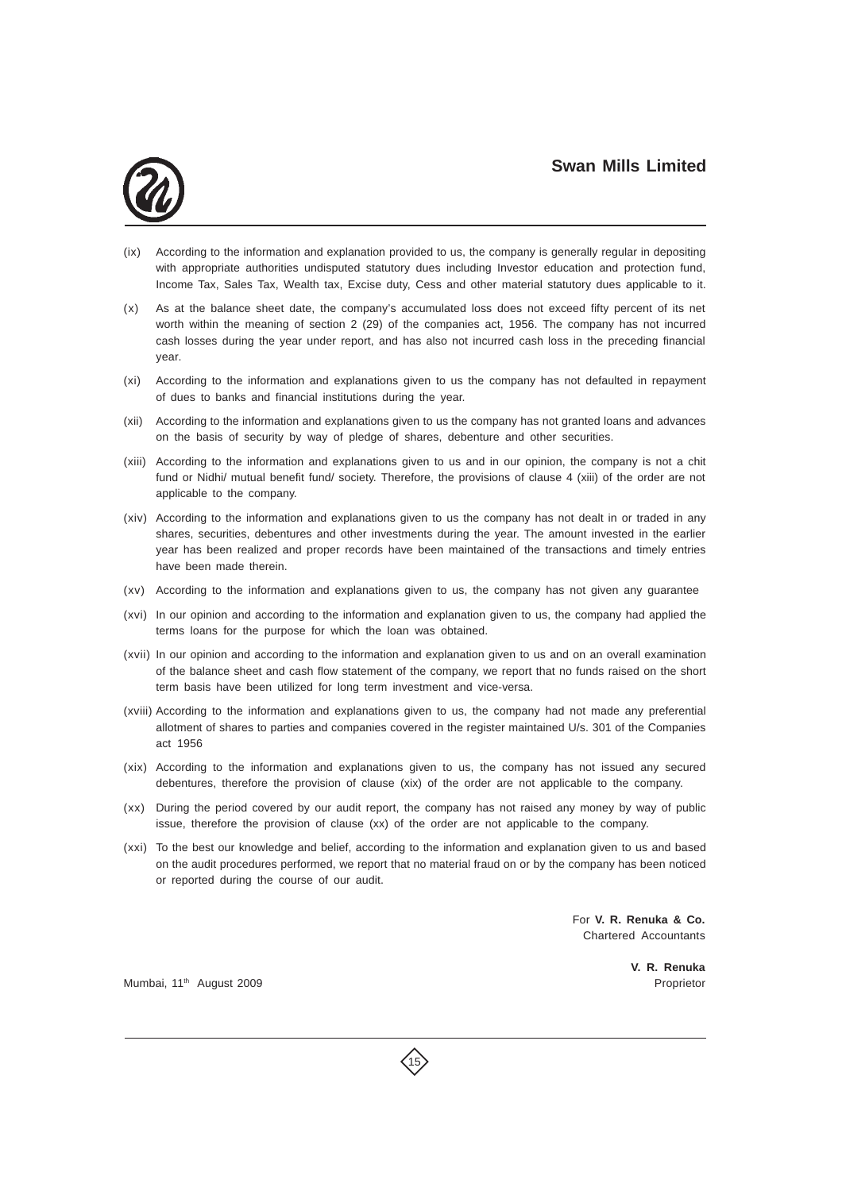

- (ix) According to the information and explanation provided to us, the company is generally regular in depositing with appropriate authorities undisputed statutory dues including Investor education and protection fund, Income Tax, Sales Tax, Wealth tax, Excise duty, Cess and other material statutory dues applicable to it.
- (x) As at the balance sheet date, the company's accumulated loss does not exceed fifty percent of its net worth within the meaning of section 2 (29) of the companies act, 1956. The company has not incurred cash losses during the year under report, and has also not incurred cash loss in the preceding financial year.
- (xi) According to the information and explanations given to us the company has not defaulted in repayment of dues to banks and financial institutions during the year.
- (xii) According to the information and explanations given to us the company has not granted loans and advances on the basis of security by way of pledge of shares, debenture and other securities.
- (xiii) According to the information and explanations given to us and in our opinion, the company is not a chit fund or Nidhi/ mutual benefit fund/ society. Therefore, the provisions of clause 4 (xiii) of the order are not applicable to the company.
- (xiv) According to the information and explanations given to us the company has not dealt in or traded in any shares, securities, debentures and other investments during the year. The amount invested in the earlier year has been realized and proper records have been maintained of the transactions and timely entries have been made therein.
- (xv) According to the information and explanations given to us, the company has not given any guarantee
- (xvi) In our opinion and according to the information and explanation given to us, the company had applied the terms loans for the purpose for which the loan was obtained.
- (xvii) In our opinion and according to the information and explanation given to us and on an overall examination of the balance sheet and cash flow statement of the company, we report that no funds raised on the short term basis have been utilized for long term investment and vice-versa.
- (xviii) According to the information and explanations given to us, the company had not made any preferential allotment of shares to parties and companies covered in the register maintained U/s. 301 of the Companies act 1956
- (xix) According to the information and explanations given to us, the company has not issued any secured debentures, therefore the provision of clause (xix) of the order are not applicable to the company.
- (xx) During the period covered by our audit report, the company has not raised any money by way of public issue, therefore the provision of clause (xx) of the order are not applicable to the company.
- (xxi) To the best our knowledge and belief, according to the information and explanation given to us and based on the audit procedures performed, we report that no material fraud on or by the company has been noticed or reported during the course of our audit.

For **V. R. Renuka & Co.** Chartered Accountants

Mumbai, 11<sup>th</sup> August 2009 **Proprietor Proprietor Proprietor** 

**V. R. Renuka**

15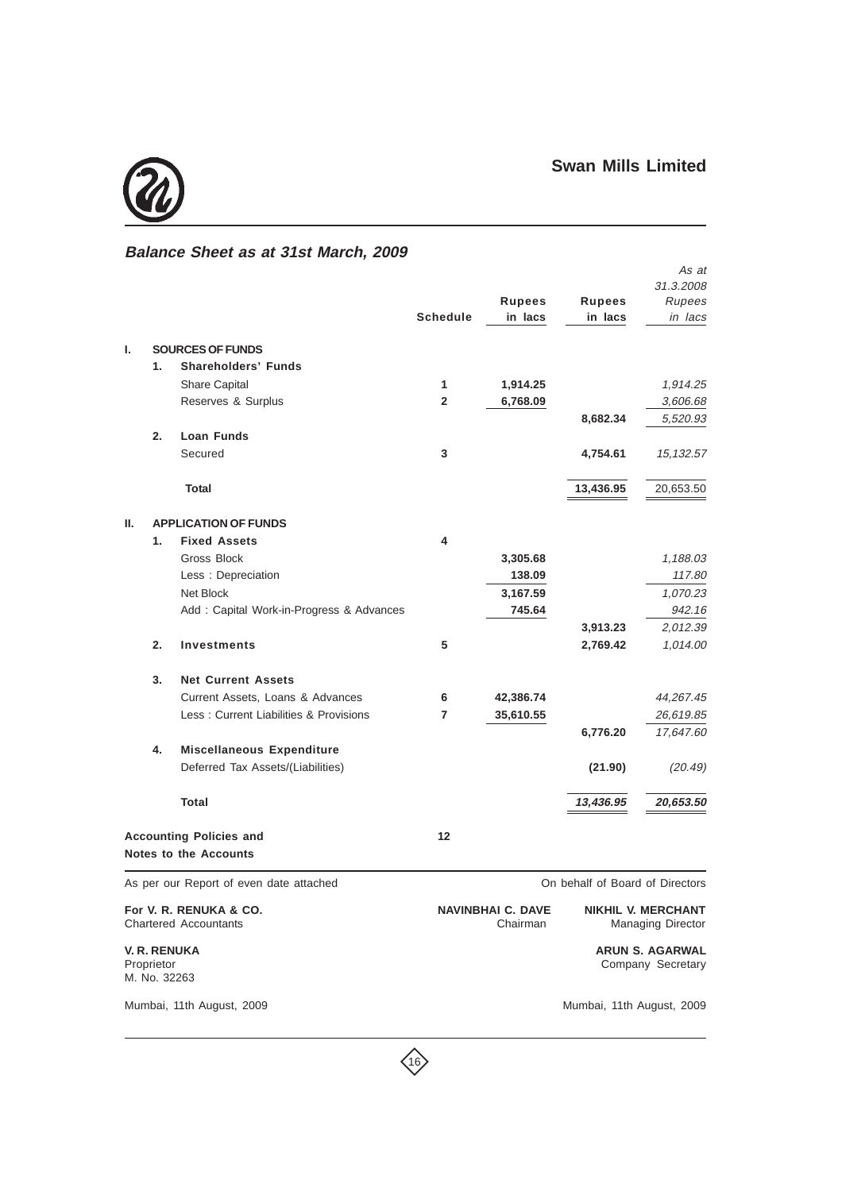

## **Balance Sheet as at 31st March, 2009**

|    |            |                                                        |                 |                                                                                               |                                 | As at                                       |
|----|------------|--------------------------------------------------------|-----------------|-----------------------------------------------------------------------------------------------|---------------------------------|---------------------------------------------|
|    |            |                                                        |                 |                                                                                               |                                 | 31.3.2008                                   |
|    |            |                                                        |                 | <b>Rupees</b>                                                                                 | <b>Rupees</b>                   | Rupees                                      |
|    |            |                                                        | <b>Schedule</b> | in lacs                                                                                       | in lacs                         | in lacs                                     |
| ı. |            | <b>SOURCES OF FUNDS</b>                                |                 |                                                                                               |                                 |                                             |
|    | 1.         | <b>Shareholders' Funds</b>                             |                 |                                                                                               |                                 |                                             |
|    |            | Share Capital                                          | 1               | 1,914.25                                                                                      |                                 | 1,914.25                                    |
|    |            | Reserves & Surplus                                     | $\mathbf{2}$    | 6,768.09                                                                                      |                                 | 3,606.68                                    |
|    |            |                                                        |                 |                                                                                               | 8,682.34                        | 5,520.93                                    |
|    | 2.         | Loan Funds                                             |                 |                                                                                               |                                 |                                             |
|    |            | Secured                                                | 3               |                                                                                               | 4,754.61                        | 15,132.57                                   |
|    |            | <b>Total</b>                                           |                 |                                                                                               | 13,436.95                       | 20,653.50                                   |
|    |            |                                                        |                 |                                                                                               |                                 |                                             |
| Ш. |            | <b>APPLICATION OF FUNDS</b>                            |                 |                                                                                               |                                 |                                             |
|    | 1.         | <b>Fixed Assets</b>                                    | 4               |                                                                                               |                                 |                                             |
|    |            | Gross Block                                            |                 | 3,305.68                                                                                      |                                 | 1,188.03                                    |
|    |            | Less: Depreciation                                     |                 | 138.09                                                                                        |                                 | 117.80                                      |
|    |            | Net Block                                              |                 | 3,167.59                                                                                      |                                 | 1,070.23                                    |
|    |            | Add: Capital Work-in-Progress & Advances               |                 | 745.64                                                                                        |                                 | 942.16                                      |
|    |            |                                                        |                 |                                                                                               | 3,913.23                        | 2,012.39                                    |
|    | 2.         | <b>Investments</b>                                     | 5               |                                                                                               | 2,769.42                        | 1,014.00                                    |
|    | 3.         | <b>Net Current Assets</b>                              |                 |                                                                                               |                                 |                                             |
|    |            | Current Assets, Loans & Advances                       | 6               | 42,386.74                                                                                     |                                 | 44,267.45                                   |
|    |            | Less: Current Liabilities & Provisions                 | 7               | 35,610.55                                                                                     |                                 | 26,619.85                                   |
|    |            |                                                        |                 |                                                                                               | 6,776.20                        | 17,647.60                                   |
|    | 4.         | <b>Miscellaneous Expenditure</b>                       |                 |                                                                                               |                                 |                                             |
|    |            | Deferred Tax Assets/(Liabilities)                      |                 |                                                                                               | (21.90)                         | (20.49)                                     |
|    |            | <b>Total</b>                                           |                 |                                                                                               | 13,436.95                       | 20,653.50                                   |
|    |            | <b>Accounting Policies and</b>                         | 12              |                                                                                               |                                 |                                             |
|    |            | <b>Notes to the Accounts</b>                           |                 |                                                                                               |                                 |                                             |
|    |            |                                                        |                 |                                                                                               | On behalf of Board of Directors |                                             |
|    |            | As per our Report of even date attached                |                 |                                                                                               |                                 |                                             |
|    |            | For V. R. RENUKA & CO.<br><b>Chartered Accountants</b> |                 | <b>NAVINBHAI C. DAVE</b><br><b>NIKHIL V. MERCHANT</b><br>Chairman<br><b>Managing Director</b> |                                 |                                             |
|    | Proprietor | <b>V. R. RENUKA</b>                                    |                 |                                                                                               |                                 | <b>ARUN S. AGARWAL</b><br>Company Secretary |

M. No. 32263

Mumbai, 11th August, 2009 Mumbai, 11th August, 2009

Company Secretary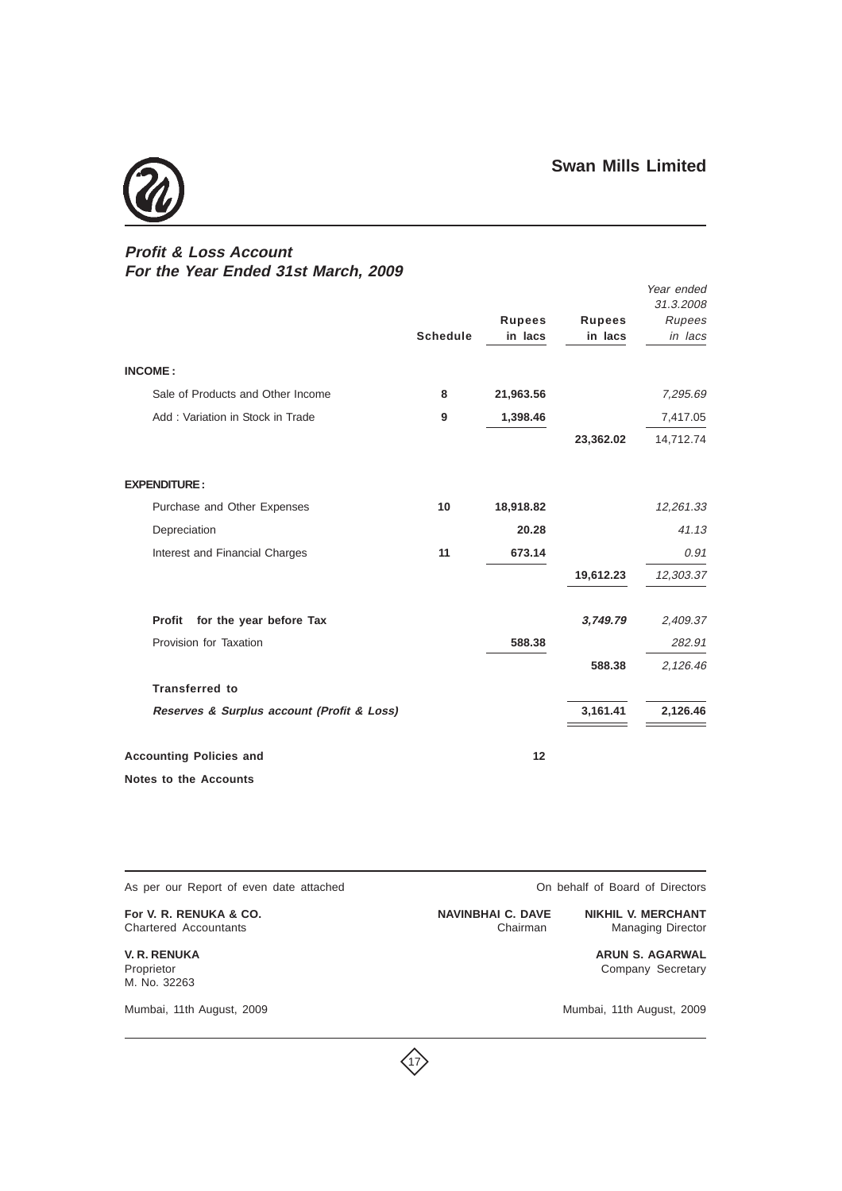

## **Profit & Loss Account For the Year Ended 31st March, 2009**

|                                            | <b>Schedule</b> | <b>Rupees</b><br>in lacs | <b>Rupees</b><br>in lacs | Year ended<br>31.3.2008<br>Rupees<br>in lacs |
|--------------------------------------------|-----------------|--------------------------|--------------------------|----------------------------------------------|
| <b>INCOME:</b>                             |                 |                          |                          |                                              |
| Sale of Products and Other Income          | 8               | 21,963.56                |                          | 7,295.69                                     |
| Add: Variation in Stock in Trade           | 9               | 1,398.46                 |                          | 7,417.05                                     |
|                                            |                 |                          | 23,362.02                | 14,712.74                                    |
| <b>EXPENDITURE:</b>                        |                 |                          |                          |                                              |
| Purchase and Other Expenses                | 10              | 18,918.82                |                          | 12,261.33                                    |
| Depreciation                               |                 | 20.28                    |                          | 41.13                                        |
| Interest and Financial Charges             | 11              | 673.14                   |                          | 0.91                                         |
|                                            |                 |                          | 19,612.23                | 12,303.37                                    |
| <b>Profit</b><br>for the year before Tax   |                 |                          | 3,749.79                 | 2,409.37                                     |
| Provision for Taxation                     |                 | 588.38                   |                          | 282.91                                       |
|                                            |                 |                          | 588.38                   | 2,126.46                                     |
| <b>Transferred to</b>                      |                 |                          |                          |                                              |
| Reserves & Surplus account (Profit & Loss) |                 |                          | 3,161.41                 | 2,126.46                                     |
| <b>Accounting Policies and</b>             |                 | 12                       |                          |                                              |
| Notes to the Accounts                      |                 |                          |                          |                                              |

 $\langle 17 \rangle$ 

As per our Report of even date attached **On behalf of Board of Directors** 

For V. R. RENUKA & CO. **NAVINBHAI C. DAVE NIKHIL V. MERCHANT** Chartered Accountants Chairman Managing Director

M. No. 32263

Mumbai, 11th August, 2009 Mumbai, 11th August, 2009

**V. R. RENUKA ARUN S. AGARWAL** Company Secretary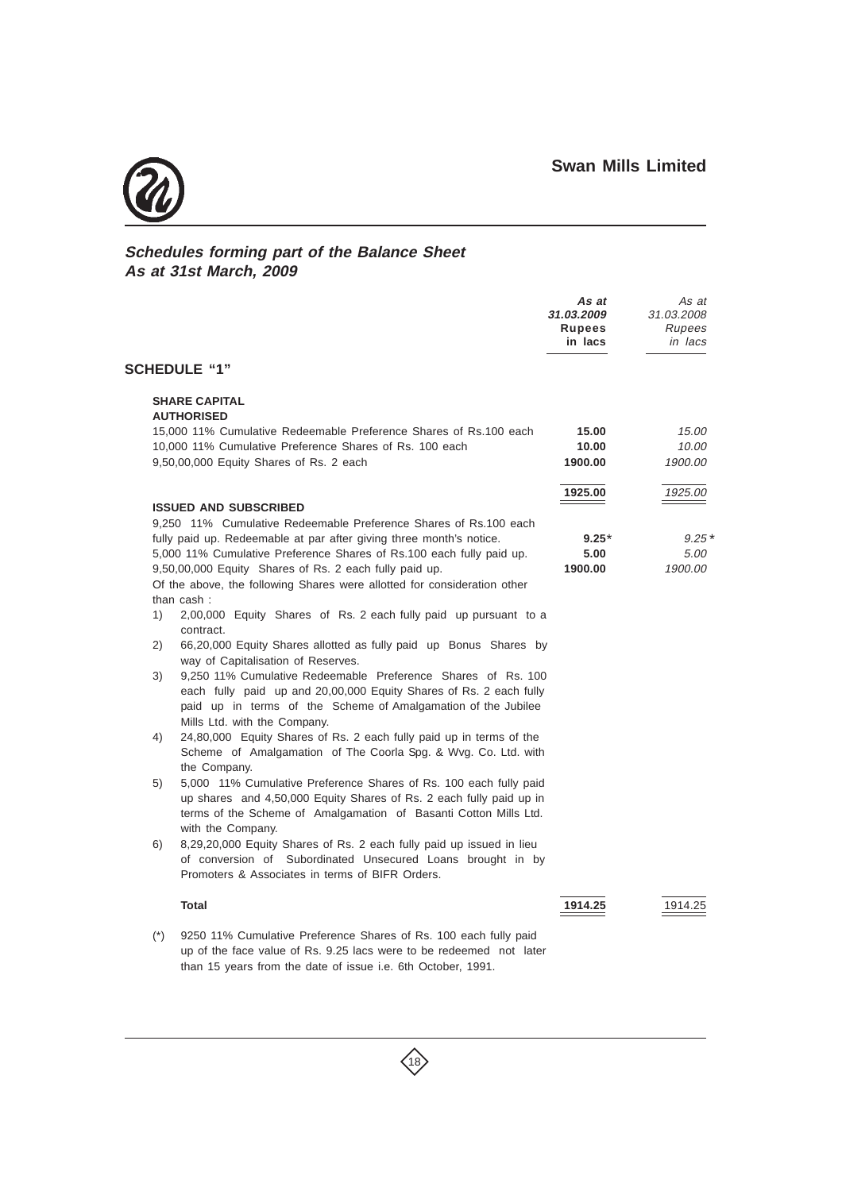

## **Schedules forming part of the Balance Sheet As at 31st March, 2009**

|       |                                                                                           | As at<br>31.03.2009<br>Rupees<br>in lacs | As at<br>31.03.2008<br>Rupees<br>in lacs |
|-------|-------------------------------------------------------------------------------------------|------------------------------------------|------------------------------------------|
|       | <b>SCHEDULE "1"</b>                                                                       |                                          |                                          |
|       | <b>SHARE CAPITAL</b>                                                                      |                                          |                                          |
|       | <b>AUTHORISED</b><br>15,000 11% Cumulative Redeemable Preference Shares of Rs.100 each    | 15.00                                    | 15.00                                    |
|       | 10,000 11% Cumulative Preference Shares of Rs. 100 each                                   | 10.00                                    | 10.00                                    |
|       | 9,50,00,000 Equity Shares of Rs. 2 each                                                   | 1900.00                                  | 1900.00                                  |
|       |                                                                                           | 1925.00                                  | 1925.00                                  |
|       | <b>ISSUED AND SUBSCRIBED</b>                                                              |                                          |                                          |
|       | 9.250 11% Cumulative Redeemable Preference Shares of Rs.100 each                          |                                          |                                          |
|       | fully paid up. Redeemable at par after giving three month's notice.                       | $9.25*$                                  | $9.25*$                                  |
|       | 5,000 11% Cumulative Preference Shares of Rs.100 each fully paid up.                      | 5.00                                     | 5.00                                     |
|       | 9,50,00,000 Equity Shares of Rs. 2 each fully paid up.                                    | 1900.00                                  | 1900.00                                  |
|       | Of the above, the following Shares were allotted for consideration other<br>than cash:    |                                          |                                          |
| 1)    | 2,00,000 Equity Shares of Rs. 2 each fully paid up pursuant to a                          |                                          |                                          |
|       | contract.                                                                                 |                                          |                                          |
| 2)    | 66,20,000 Equity Shares allotted as fully paid up Bonus Shares by                         |                                          |                                          |
|       | way of Capitalisation of Reserves.                                                        |                                          |                                          |
| 3)    | 9,250 11% Cumulative Redeemable Preference Shares of Rs. 100                              |                                          |                                          |
|       | each fully paid up and 20,00,000 Equity Shares of Rs. 2 each fully                        |                                          |                                          |
|       | paid up in terms of the Scheme of Amalgamation of the Jubilee                             |                                          |                                          |
|       | Mills Ltd. with the Company.                                                              |                                          |                                          |
| 4)    | 24,80,000 Equity Shares of Rs. 2 each fully paid up in terms of the                       |                                          |                                          |
|       | Scheme of Amalgamation of The Coorla Spg. & Wvg. Co. Ltd. with                            |                                          |                                          |
|       | the Company.                                                                              |                                          |                                          |
| 5)    | 5,000 11% Cumulative Preference Shares of Rs. 100 each fully paid                         |                                          |                                          |
|       | up shares and 4,50,000 Equity Shares of Rs. 2 each fully paid up in                       |                                          |                                          |
|       | terms of the Scheme of Amalgamation of Basanti Cotton Mills Ltd.                          |                                          |                                          |
| 6)    | with the Company.<br>8,29,20,000 Equity Shares of Rs. 2 each fully paid up issued in lieu |                                          |                                          |
|       | of conversion of Subordinated Unsecured Loans brought in by                               |                                          |                                          |
|       | Promoters & Associates in terms of BIFR Orders.                                           |                                          |                                          |
|       | <b>Total</b>                                                                              | 1914.25                                  | 1914.25                                  |
| $(*)$ | 9250 11% Cumulative Preference Shares of Rs. 100 each fully paid                          |                                          |                                          |
|       | up of the face value of Rs. 9.25 lacs were to be redeemed not later                       |                                          |                                          |

than 15 years from the date of issue i.e. 6th October, 1991.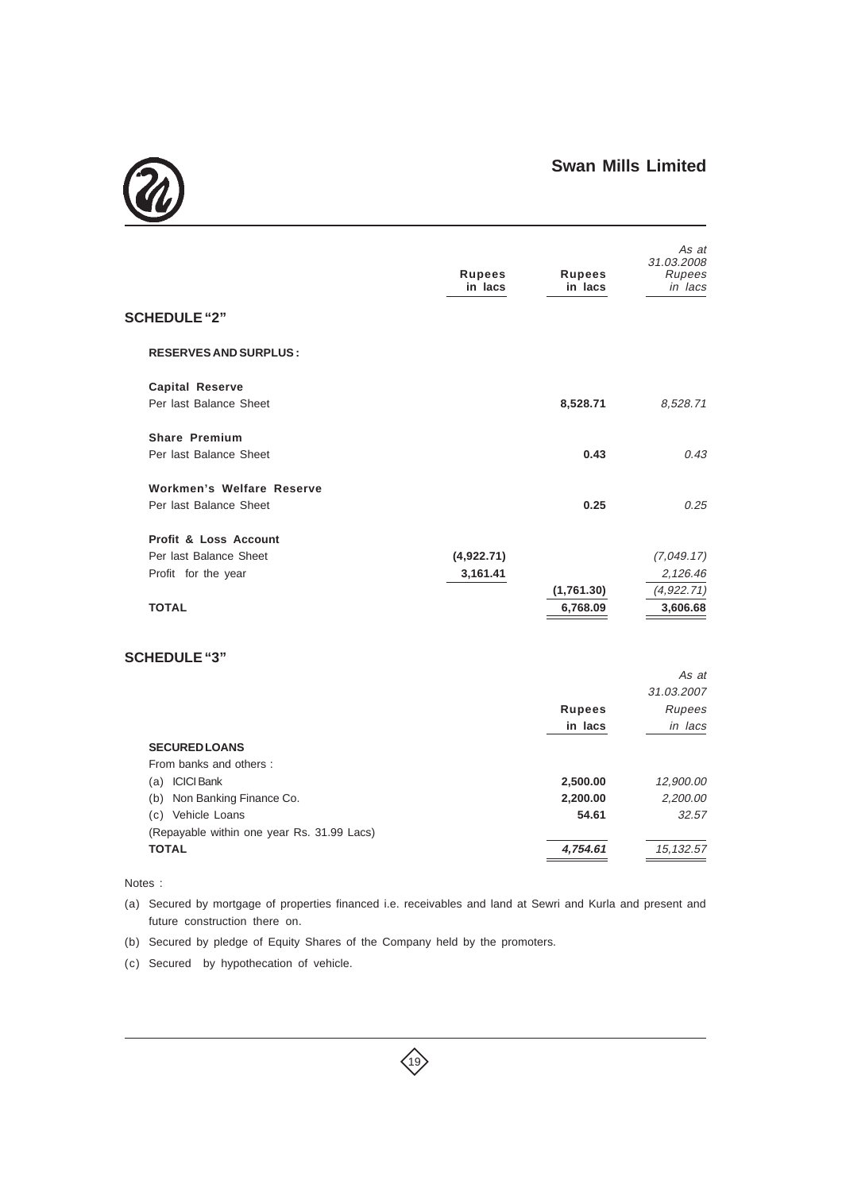

|                                | <b>Rupees</b><br>in lacs | <b>Rupees</b><br>in lacs | As at<br>31.03.2008<br>Rupees<br>in lacs |
|--------------------------------|--------------------------|--------------------------|------------------------------------------|
| <b>SCHEDULE "2"</b>            |                          |                          |                                          |
| <b>RESERVES AND SURPLUS:</b>   |                          |                          |                                          |
| <b>Capital Reserve</b>         |                          |                          |                                          |
| Per last Balance Sheet         |                          | 8,528.71                 | 8,528.71                                 |
| <b>Share Premium</b>           |                          |                          |                                          |
| Per last Balance Sheet         |                          | 0.43                     | 0.43                                     |
| Workmen's Welfare Reserve      |                          |                          |                                          |
| Per last Balance Sheet         |                          | 0.25                     | 0.25                                     |
| Profit & Loss Account          |                          |                          |                                          |
| Per last Balance Sheet         | (4,922.71)               |                          | (7,049.17)                               |
| Profit for the year            | 3,161.41                 |                          | 2,126.46                                 |
|                                |                          | (1,761.30)               | (4, 922.71)                              |
| <b>TOTAL</b>                   |                          | 6,768.09                 | 3,606.68                                 |
| <b>SCHEDULE "3"</b>            |                          |                          |                                          |
|                                |                          |                          | As at                                    |
|                                |                          |                          | 31.03.2007                               |
|                                |                          | <b>Rupees</b>            | Rupees                                   |
|                                |                          | in lacs                  | in lacs                                  |
| <b>SECURED LOANS</b>           |                          |                          |                                          |
| From banks and others:         |                          |                          |                                          |
| (a) ICICI Bank                 |                          | 2,500.00                 | 12,900.00                                |
| Non Banking Finance Co.<br>(b) |                          | 2,200.00                 | 2,200.00                                 |

Notes :

(a) Secured by mortgage of properties financed i.e. receivables and land at Sewri and Kurla and present and future construction there on.

(c) Vehicle Loans **54.61** 32.57

**TOTAL 4,754.61** 15,132.57

 $\left\langle 19 \right\rangle$ 

(b) Secured by pledge of Equity Shares of the Company held by the promoters.

(c) Secured by hypothecation of vehicle.

(Repayable within one year Rs. 31.99 Lacs)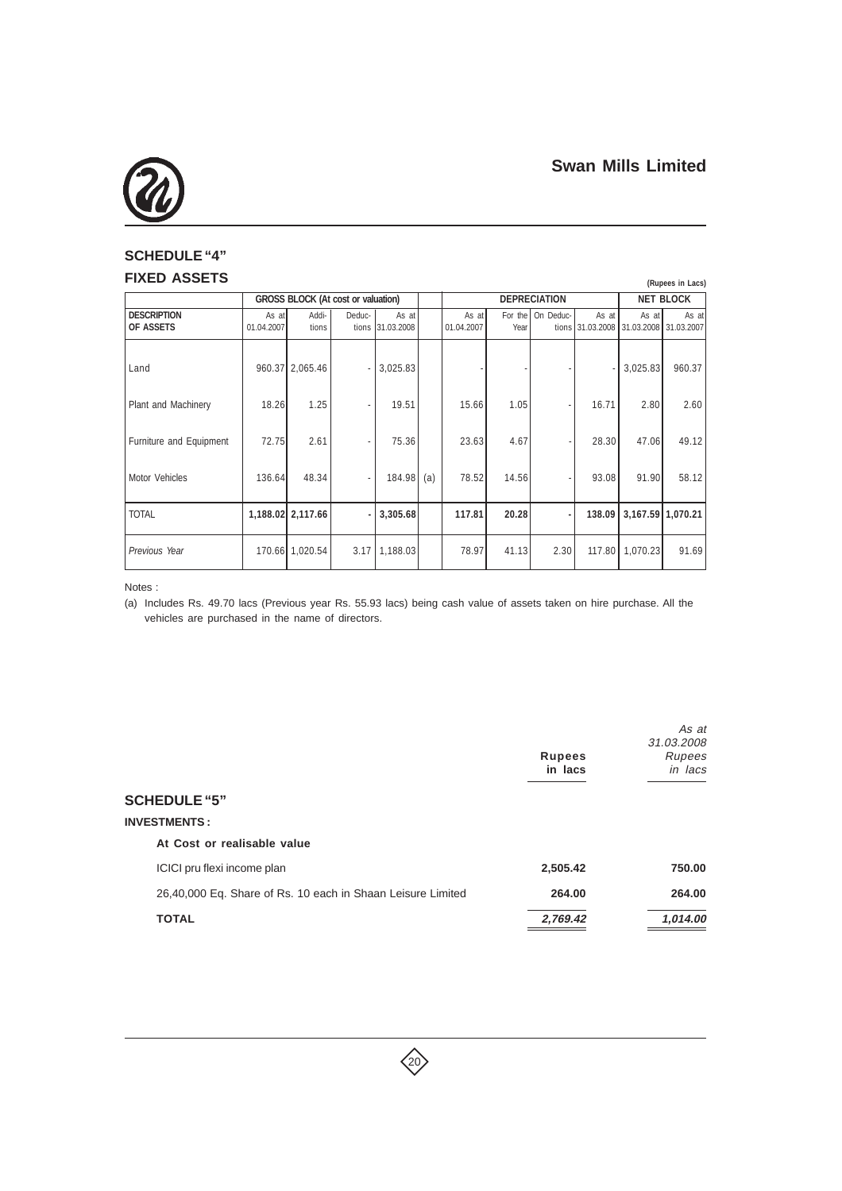

## **SCHEDULE "4" FIXED ASSETS**

| טושטטה שבתוו                    |                     |                                           |        |                           | (Rupees in Lacs) |                     |                 |                     |                                                 |          |                   |
|---------------------------------|---------------------|-------------------------------------------|--------|---------------------------|------------------|---------------------|-----------------|---------------------|-------------------------------------------------|----------|-------------------|
|                                 |                     | <b>GROSS BLOCK (At cost or valuation)</b> |        |                           |                  |                     |                 | <b>DEPRECIATION</b> |                                                 |          | <b>NET BLOCK</b>  |
| <b>DESCRIPTION</b><br>OF ASSETS | As at<br>01.04.2007 | Addi-<br>tions                            | Deduc- | As at<br>tions 31.03.2008 |                  | As at<br>01.04.2007 | For the<br>Year | On Deduc-           | As at<br>tions 31.03.2008 31.03.2008 31.03.2007 | As at    | As at             |
| Land                            |                     | 960.37 2,065.46                           | ä,     | 3,025.83                  |                  |                     |                 |                     |                                                 | 3,025.83 | 960.37            |
| Plant and Machinery             | 18.26               | 1.25                                      |        | 19.51                     |                  | 15.66               | 1.05            |                     | 16.71                                           | 2.80     | 2.60              |
| Furniture and Equipment         | 72.75               | 2.61                                      |        | 75.36                     |                  | 23.63               | 4.67            |                     | 28.30                                           | 47.06    | 49.12             |
| <b>Motor Vehicles</b>           | 136.64              | 48.34                                     |        | 184.98                    | (a)              | 78.52               | 14.56           |                     | 93.08                                           | 91.90    | 58.12             |
| <b>TOTAL</b>                    |                     | 1,188.02 2,117.66                         |        | 3,305.68                  |                  | 117.81              | 20.28           |                     | 138.09                                          |          | 3,167.59 1,070.21 |
| Previous Year                   |                     | 170.66 1,020.54                           |        | $3.17$   1,188.03         |                  | 78.97               | 41.13           | 2.30                | 117.80                                          | 1,070.23 | 91.69             |

Notes :

(a) Includes Rs. 49.70 lacs (Previous year Rs. 55.93 lacs) being cash value of assets taken on hire purchase. All the vehicles are purchased in the name of directors.

|                                                             | <b>Rupees</b><br>in lacs | As at<br>31.03.2008<br>Rupees<br>in lacs |
|-------------------------------------------------------------|--------------------------|------------------------------------------|
| <b>SCHEDULE "5"</b>                                         |                          |                                          |
| <b>INVESTMENTS:</b>                                         |                          |                                          |
| At Cost or realisable value                                 |                          |                                          |
| ICICI pru flexi income plan                                 | 2,505.42                 | 750.00                                   |
| 26,40,000 Eq. Share of Rs. 10 each in Shaan Leisure Limited | 264.00                   | 264.00                                   |
| <b>TOTAL</b>                                                | 2,769.42                 | 1,014.00                                 |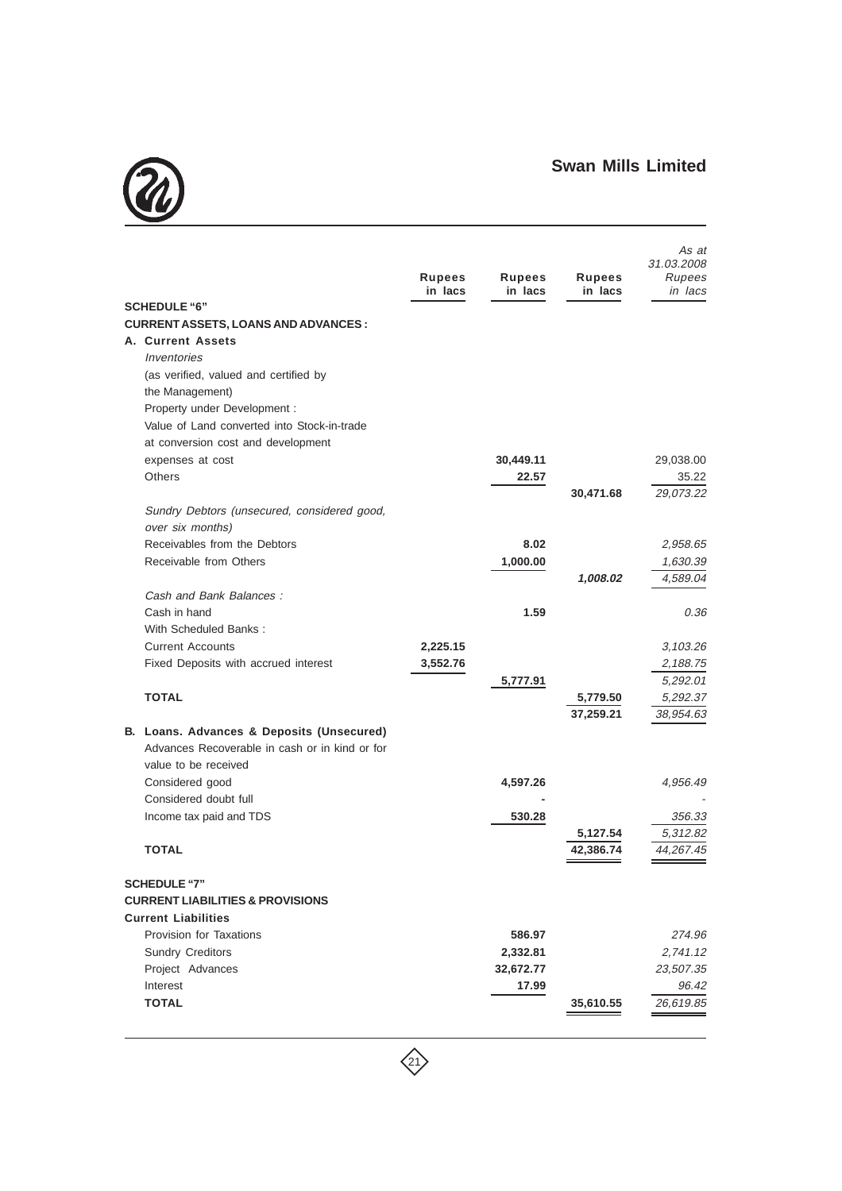

| <b>SCHEDULE "6"</b><br><b>CURRENT ASSETS, LOANS AND ADVANCES :</b> | <b>Rupees</b><br>in lacs | Rupees<br>in lacs | <b>Rupees</b><br>in lacs | As at<br>31.03.2008<br>Rupees<br>in lacs |
|--------------------------------------------------------------------|--------------------------|-------------------|--------------------------|------------------------------------------|
| A. Current Assets                                                  |                          |                   |                          |                                          |
| Inventories                                                        |                          |                   |                          |                                          |
| (as verified, valued and certified by                              |                          |                   |                          |                                          |
| the Management)                                                    |                          |                   |                          |                                          |
| Property under Development :                                       |                          |                   |                          |                                          |
| Value of Land converted into Stock-in-trade                        |                          |                   |                          |                                          |
| at conversion cost and development                                 |                          |                   |                          |                                          |
| expenses at cost                                                   |                          | 30,449.11         |                          | 29,038.00                                |
| <b>Others</b>                                                      |                          | 22.57             | 30,471.68                | 35.22<br>29,073.22                       |
| Sundry Debtors (unsecured, considered good,                        |                          |                   |                          |                                          |
| over six months)                                                   |                          |                   |                          |                                          |
| Receivables from the Debtors                                       |                          | 8.02              |                          | 2,958.65                                 |
| Receivable from Others                                             |                          | 1,000.00          |                          | 1,630.39                                 |
|                                                                    |                          |                   | 1,008.02                 | 4,589.04                                 |
| Cash and Bank Balances:                                            |                          |                   |                          |                                          |
| Cash in hand                                                       |                          | 1.59              |                          | 0.36                                     |
| With Scheduled Banks:                                              |                          |                   |                          |                                          |
| <b>Current Accounts</b>                                            | 2,225.15                 |                   |                          | 3,103.26                                 |
| Fixed Deposits with accrued interest                               | 3,552.76                 |                   |                          | 2,188.75                                 |
| <b>TOTAL</b>                                                       |                          | 5,777.91          | 5,779.50                 | 5,292.01<br>5,292.37                     |
|                                                                    |                          |                   | 37,259.21                | 38,954.63                                |
| B. Loans. Advances & Deposits (Unsecured)                          |                          |                   |                          |                                          |
| Advances Recoverable in cash or in kind or for                     |                          |                   |                          |                                          |
| value to be received                                               |                          |                   |                          |                                          |
| Considered good                                                    |                          | 4,597.26          |                          | 4,956.49                                 |
| Considered doubt full                                              |                          |                   |                          |                                          |
| Income tax paid and TDS                                            |                          | 530.28            |                          | 356.33                                   |
|                                                                    |                          |                   | 5,127.54                 | 5,312.82                                 |
| <b>TOTAL</b>                                                       |                          |                   | 42,386.74                | 44,267.45                                |
| <b>SCHEDULE "7"</b>                                                |                          |                   |                          |                                          |
| <b>CURRENT LIABILITIES &amp; PROVISIONS</b>                        |                          |                   |                          |                                          |
| <b>Current Liabilities</b>                                         |                          |                   |                          |                                          |
| Provision for Taxations                                            |                          | 586.97            |                          | 274.96                                   |
| <b>Sundry Creditors</b>                                            |                          | 2,332.81          |                          | 2,741.12                                 |
| Project Advances                                                   |                          | 32,672.77         |                          | 23,507.35                                |
| Interest                                                           |                          | 17.99             |                          | 96.42                                    |
| <b>TOTAL</b>                                                       |                          |                   | 35,610.55                | 26,619.85                                |

 $\left\langle \begin{matrix} 2 \end{matrix} \right\rangle$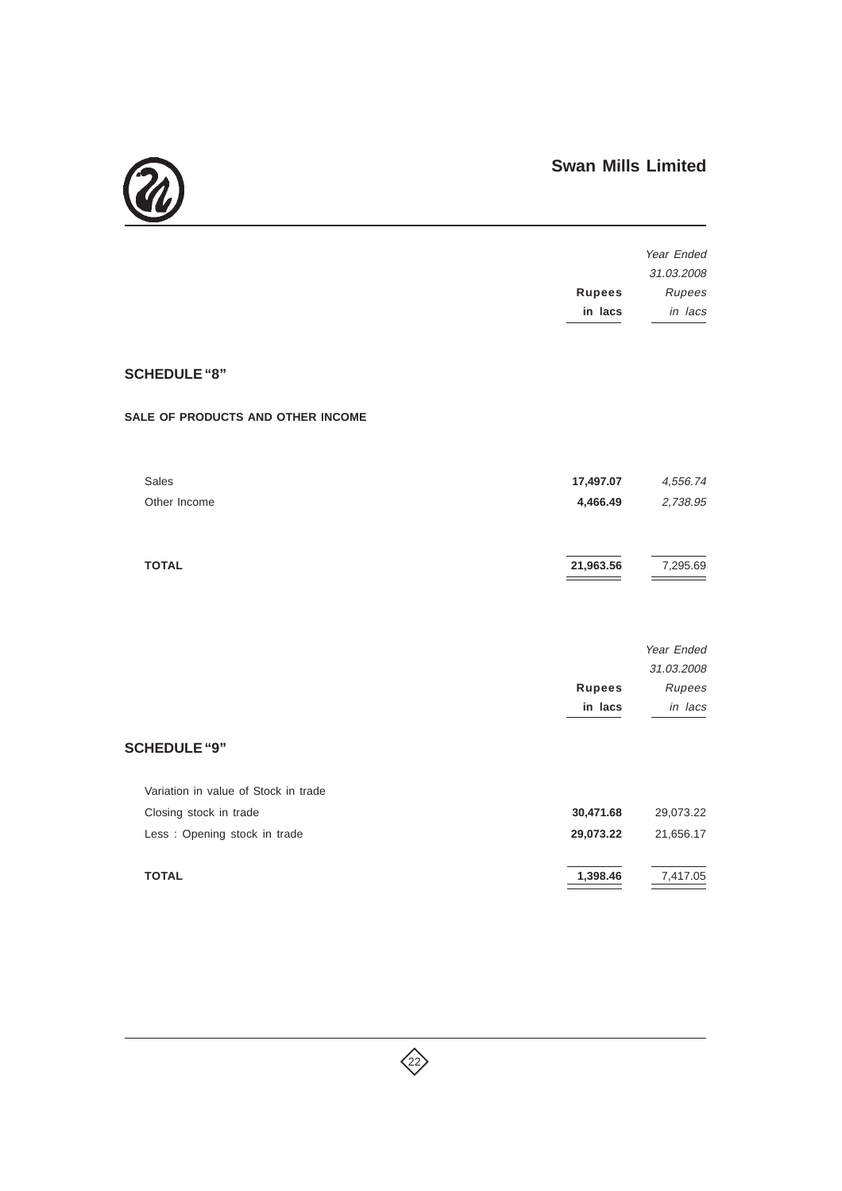

|                                      |               | Year Ended |
|--------------------------------------|---------------|------------|
|                                      |               | 31.03.2008 |
|                                      | <b>Rupees</b> | Rupees     |
|                                      | in lacs       | in lacs    |
|                                      |               |            |
| <b>SCHEDULE "8"</b>                  |               |            |
| SALE OF PRODUCTS AND OTHER INCOME    |               |            |
| <b>Sales</b>                         | 17,497.07     | 4,556.74   |
| Other Income                         | 4,466.49      | 2,738.95   |
|                                      |               |            |
| <b>TOTAL</b>                         | 21,963.56     | 7,295.69   |
|                                      |               |            |
|                                      |               | Year Ended |
|                                      |               | 31.03.2008 |
|                                      | <b>Rupees</b> | Rupees     |
|                                      | in lacs       | in lacs    |
| <b>SCHEDULE "9"</b>                  |               |            |
| Variation in value of Stock in trade |               |            |
| Closing stock in trade               | 30,471.68     | 29,073.22  |
| Less : Opening stock in trade        | 29,073.22     | 21,656.17  |
| <b>TOTAL</b>                         | 1,398.46      | 7,417.05   |
|                                      |               |            |

 $\left\langle \right\rangle$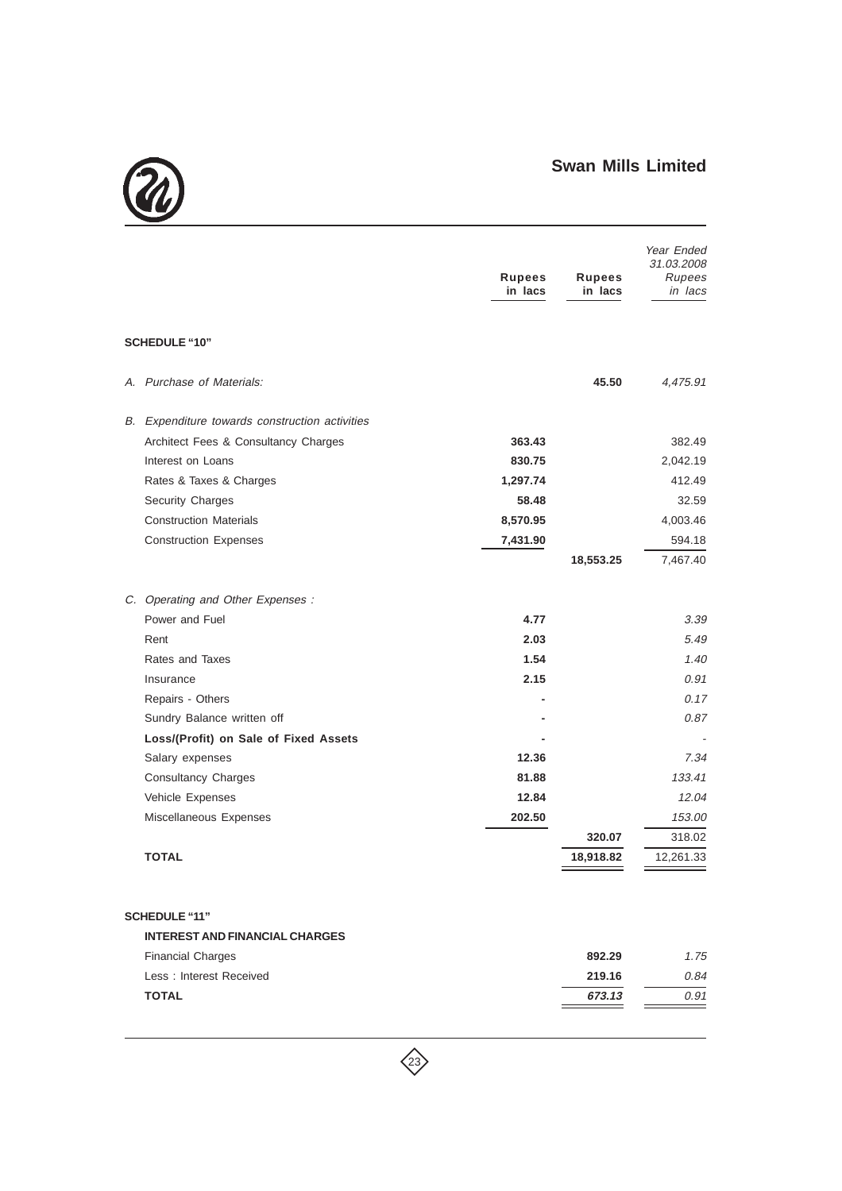

|                                                | <b>Rupees</b><br>in lacs | <b>Rupees</b><br>in lacs | Year Ended<br>31.03.2008<br>Rupees<br>in lacs |
|------------------------------------------------|--------------------------|--------------------------|-----------------------------------------------|
| <b>SCHEDULE "10"</b>                           |                          |                          |                                               |
| A. Purchase of Materials:                      |                          | 45.50                    | 4,475.91                                      |
| B. Expenditure towards construction activities |                          |                          |                                               |
| Architect Fees & Consultancy Charges           | 363.43                   |                          | 382.49                                        |
| Interest on Loans                              | 830.75                   |                          | 2,042.19                                      |
| Rates & Taxes & Charges                        | 1,297.74                 |                          | 412.49                                        |
| <b>Security Charges</b>                        | 58.48                    |                          | 32.59                                         |
| <b>Construction Materials</b>                  | 8,570.95                 |                          | 4,003.46                                      |
| <b>Construction Expenses</b>                   | 7,431.90                 |                          | 594.18                                        |
|                                                |                          | 18,553.25                | 7,467.40                                      |
| C. Operating and Other Expenses :              |                          |                          |                                               |
| Power and Fuel                                 | 4.77                     |                          | 3.39                                          |
| Rent                                           | 2.03                     |                          | 5.49                                          |
| Rates and Taxes                                | 1.54                     |                          | 1.40                                          |
| Insurance                                      | 2.15                     |                          | 0.91                                          |
| Repairs - Others                               |                          |                          | 0.17                                          |
| Sundry Balance written off                     |                          |                          | 0.87                                          |
| Loss/(Profit) on Sale of Fixed Assets          |                          |                          |                                               |
| Salary expenses                                | 12.36                    |                          | 7.34                                          |
| <b>Consultancy Charges</b>                     | 81.88                    |                          | 133.41                                        |
| Vehicle Expenses                               | 12.84                    |                          | 12.04                                         |
| Miscellaneous Expenses                         | 202.50                   |                          | 153.00                                        |
|                                                |                          | 320.07                   | 318.02                                        |
| <b>TOTAL</b>                                   |                          | 18,918.82                | 12,261.33                                     |
| <b>SCHEDULE "11"</b>                           |                          |                          |                                               |
| <b>INTEREST AND FINANCIAL CHARGES</b>          |                          |                          |                                               |
| <b>Financial Charges</b>                       |                          | 892.29                   | 1.75                                          |
| Less: Interest Received                        |                          | 219.16                   | 0.84                                          |
| <b>TOTAL</b>                                   |                          | 673.13                   | 0.91                                          |

 $\left\langle \right\rangle$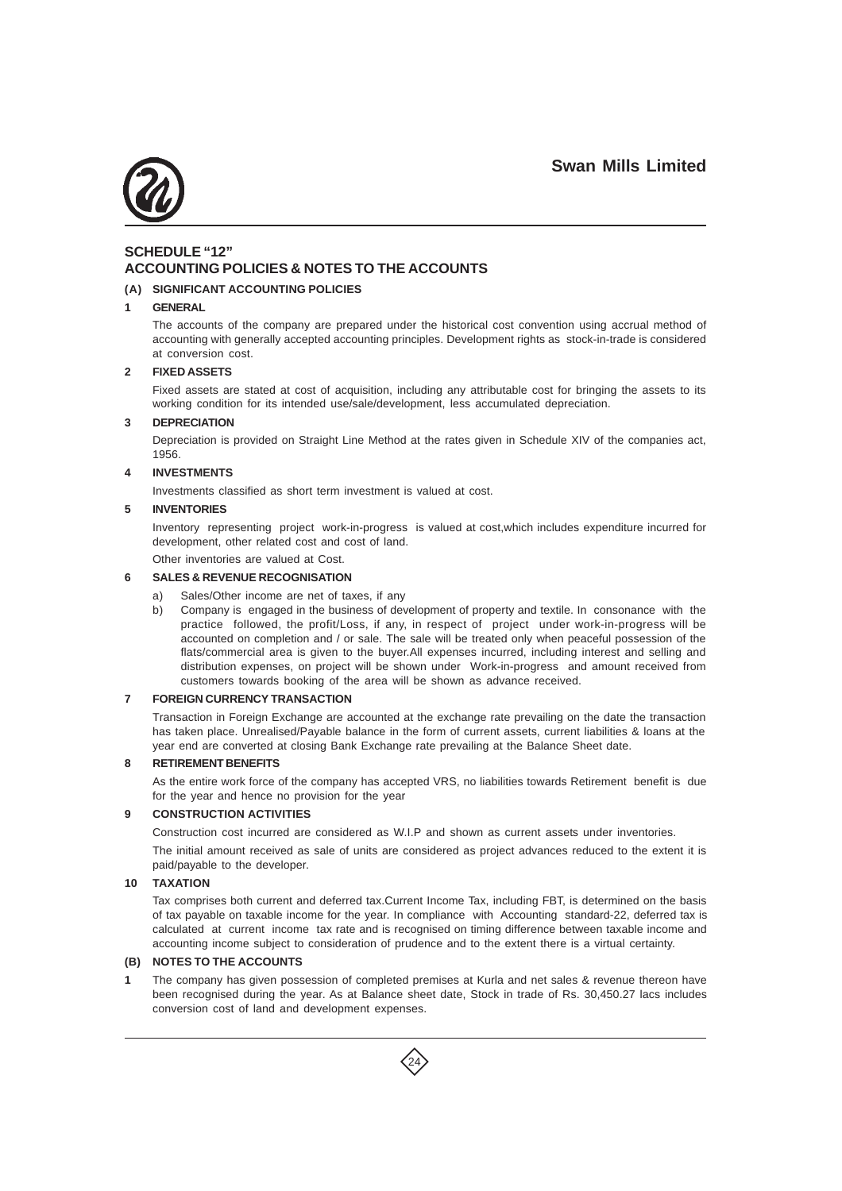

## **SCHEDULE "12" ACCOUNTING POLICIES & NOTES TO THE ACCOUNTS**

### **(A) SIGNIFICANT ACCOUNTING POLICIES**

#### **1 GENERAL**

The accounts of the company are prepared under the historical cost convention using accrual method of accounting with generally accepted accounting principles. Development rights as stock-in-trade is considered at conversion cost.

#### **2 FIXED ASSETS**

Fixed assets are stated at cost of acquisition, including any attributable cost for bringing the assets to its working condition for its intended use/sale/development, less accumulated depreciation.

#### **3 DEPRECIATION**

Depreciation is provided on Straight Line Method at the rates given in Schedule XIV of the companies act, 1956.

#### **4 INVESTMENTS**

Investments classified as short term investment is valued at cost.

### **5 INVENTORIES**

Inventory representing project work-in-progress is valued at cost,which includes expenditure incurred for development, other related cost and cost of land.

Other inventories are valued at Cost.

#### **6 SALES & REVENUE RECOGNISATION**

- a) Sales/Other income are net of taxes, if any
- b) Company is engaged in the business of development of property and textile. In consonance with the practice followed, the profit/Loss, if any, in respect of project under work-in-progress will be accounted on completion and / or sale. The sale will be treated only when peaceful possession of the flats/commercial area is given to the buyer.All expenses incurred, including interest and selling and distribution expenses, on project will be shown under Work-in-progress and amount received from customers towards booking of the area will be shown as advance received.

#### **7 FOREIGN CURRENCY TRANSACTION**

Transaction in Foreign Exchange are accounted at the exchange rate prevailing on the date the transaction has taken place. Unrealised/Payable balance in the form of current assets, current liabilities & loans at the year end are converted at closing Bank Exchange rate prevailing at the Balance Sheet date.

#### **8 RETIREMENT BENEFITS**

As the entire work force of the company has accepted VRS, no liabilities towards Retirement benefit is due for the year and hence no provision for the year

### **9 CONSTRUCTION ACTIVITIES**

Construction cost incurred are considered as W.I.P and shown as current assets under inventories. The initial amount received as sale of units are considered as project advances reduced to the extent it is paid/payable to the developer.

#### **10 TAXATION**

Tax comprises both current and deferred tax.Current Income Tax, including FBT, is determined on the basis of tax payable on taxable income for the year. In compliance with Accounting standard-22, deferred tax is calculated at current income tax rate and is recognised on timing difference between taxable income and accounting income subject to consideration of prudence and to the extent there is a virtual certainty.

### **(B) NOTES TO THE ACCOUNTS**

**1** The company has given possession of completed premises at Kurla and net sales & revenue thereon have been recognised during the year. As at Balance sheet date, Stock in trade of Rs. 30,450.27 lacs includes conversion cost of land and development expenses.

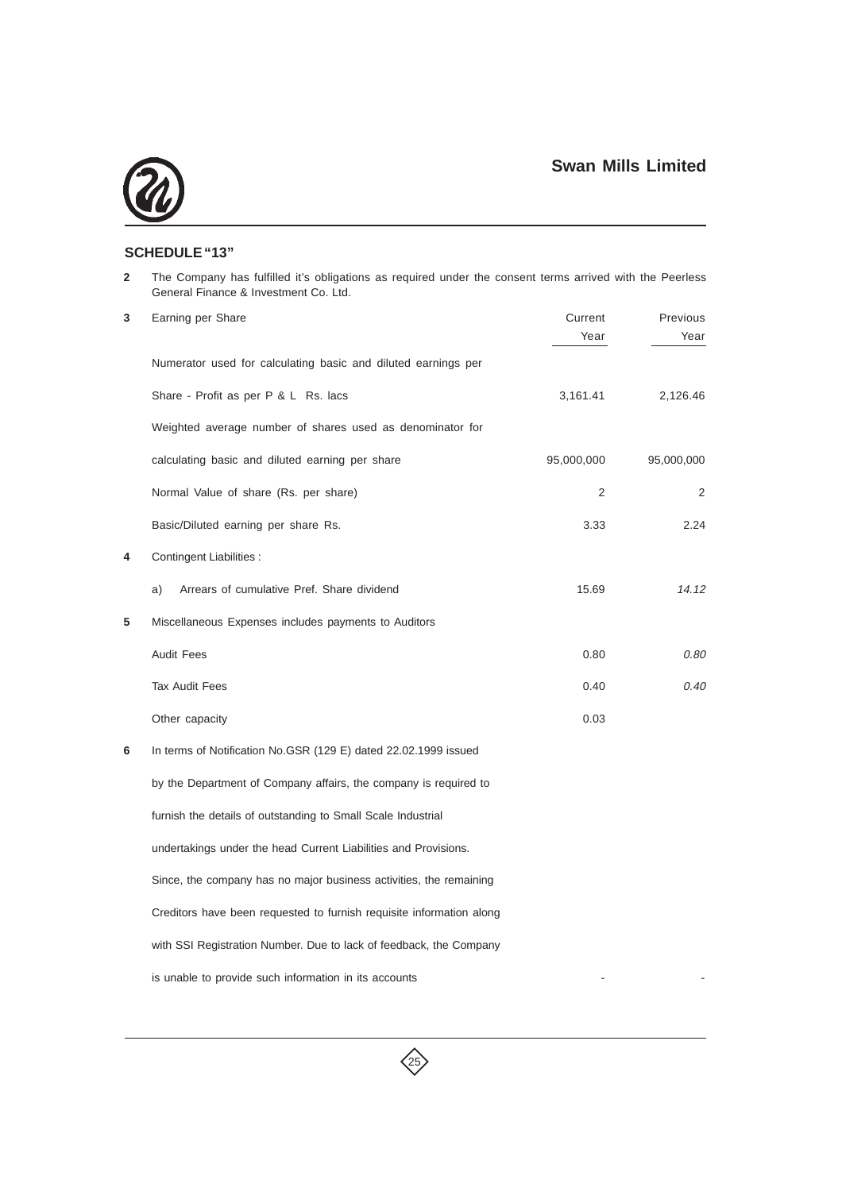

## **SCHEDULE "13"**

**2** The Company has fulfilled it's obligations as required under the consent terms arrived with the Peerless General Finance & Investment Co. Ltd.

| 3 | Earning per Share                                                    | Current<br>Year | Previous<br>Year |
|---|----------------------------------------------------------------------|-----------------|------------------|
|   | Numerator used for calculating basic and diluted earnings per        |                 |                  |
|   | Share - Profit as per P & L Rs. lacs                                 | 3,161.41        | 2,126.46         |
|   | Weighted average number of shares used as denominator for            |                 |                  |
|   | calculating basic and diluted earning per share                      | 95,000,000      | 95,000,000       |
|   | Normal Value of share (Rs. per share)                                | 2               | 2                |
|   | Basic/Diluted earning per share Rs.                                  | 3.33            | 2.24             |
| 4 | Contingent Liabilities :                                             |                 |                  |
|   | Arrears of cumulative Pref. Share dividend<br>a)                     | 15.69           | 14.12            |
| 5 | Miscellaneous Expenses includes payments to Auditors                 |                 |                  |
|   | <b>Audit Fees</b>                                                    | 0.80            | 0.80             |
|   | <b>Tax Audit Fees</b>                                                | 0.40            | 0.40             |
|   | Other capacity                                                       | 0.03            |                  |
| 6 | In terms of Notification No.GSR (129 E) dated 22.02.1999 issued      |                 |                  |
|   | by the Department of Company affairs, the company is required to     |                 |                  |
|   | furnish the details of outstanding to Small Scale Industrial         |                 |                  |
|   | undertakings under the head Current Liabilities and Provisions.      |                 |                  |
|   | Since, the company has no major business activities, the remaining   |                 |                  |
|   | Creditors have been requested to furnish requisite information along |                 |                  |
|   | with SSI Registration Number. Due to lack of feedback, the Company   |                 |                  |
|   | is unable to provide such information in its accounts                |                 |                  |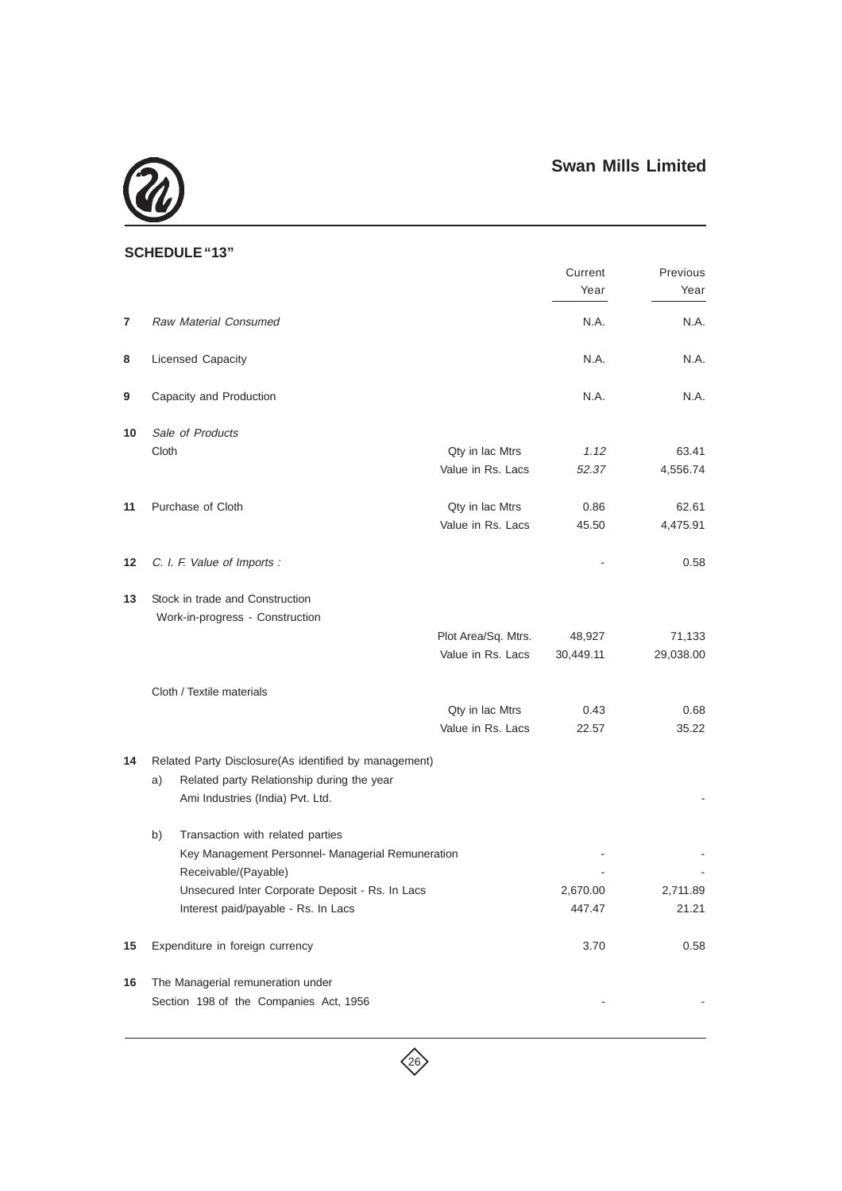

## **SCHEDULE "13"**

|    |                                                       |                     | Current   | Previous  |
|----|-------------------------------------------------------|---------------------|-----------|-----------|
|    |                                                       |                     | Year      | Year      |
| 7  | <b>Raw Material Consumed</b>                          |                     | N.A.      | N.A.      |
| 8  | Licensed Capacity                                     |                     | N.A.      | N.A.      |
| 9  | Capacity and Production                               |                     | N.A.      | N.A.      |
| 10 | Sale of Products                                      |                     |           |           |
|    | Cloth                                                 | Qty in lac Mtrs     | 1.12      | 63.41     |
|    |                                                       | Value in Rs. Lacs   | 52.37     | 4,556.74  |
| 11 | Purchase of Cloth                                     | Qty in lac Mtrs     | 0.86      | 62.61     |
|    |                                                       | Value in Rs. Lacs   | 45.50     | 4,475.91  |
| 12 | C. I. F. Value of Imports :                           |                     |           | 0.58      |
| 13 | Stock in trade and Construction                       |                     |           |           |
|    | Work-in-progress - Construction                       |                     |           |           |
|    |                                                       | Plot Area/Sq. Mtrs. | 48,927    | 71,133    |
|    |                                                       | Value in Rs. Lacs   | 30,449.11 | 29,038.00 |
|    |                                                       |                     |           |           |
|    | Cloth / Textile materials                             |                     |           |           |
|    |                                                       | Qty in lac Mtrs     | 0.43      | 0.68      |
|    |                                                       | Value in Rs. Lacs   | 22.57     | 35.22     |
| 14 | Related Party Disclosure(As identified by management) |                     |           |           |
|    | Related party Relationship during the year<br>a)      |                     |           |           |
|    | Ami Industries (India) Pvt. Ltd.                      |                     |           |           |
|    | Transaction with related parties<br>b)                |                     |           |           |
|    | Key Management Personnel- Managerial Remuneration     |                     |           |           |
|    | Receivable/(Payable)                                  |                     |           |           |
|    | Unsecured Inter Corporate Deposit - Rs. In Lacs       |                     | 2,670.00  | 2,711.89  |
|    | Interest paid/payable - Rs. In Lacs                   |                     | 447.47    | 21.21     |
|    |                                                       |                     |           |           |
| 15 | Expenditure in foreign currency                       |                     | 3.70      | 0.58      |
| 16 | The Managerial remuneration under                     |                     |           |           |
|    | Section 198 of the Companies Act, 1956                |                     |           |           |
|    |                                                       |                     |           |           |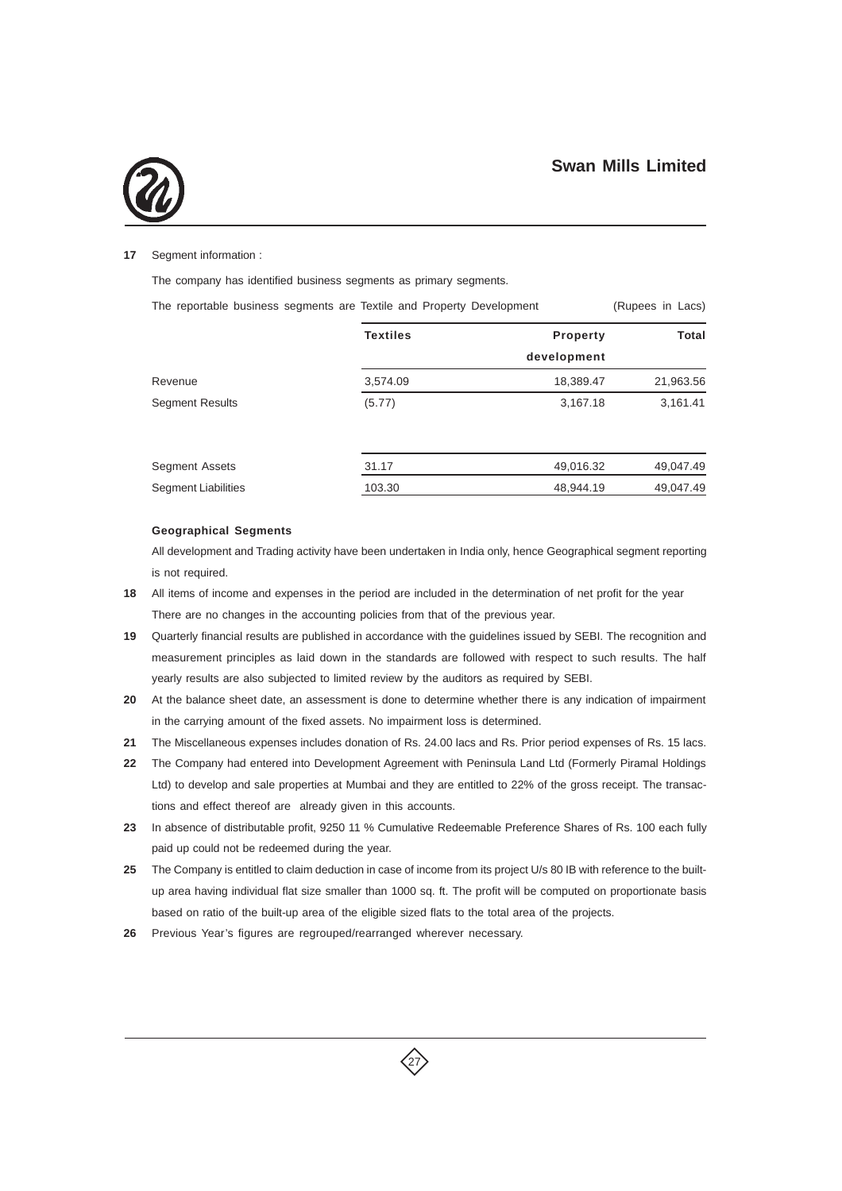

#### **17** Segment information :

The company has identified business segments as primary segments.

| The reportable business segments are Textile and Property Development | (Rupees in Lacs) |                 |              |  |  |
|-----------------------------------------------------------------------|------------------|-----------------|--------------|--|--|
|                                                                       | <b>Textiles</b>  | <b>Property</b> | <b>Total</b> |  |  |
|                                                                       |                  | development     |              |  |  |
| Revenue                                                               | 3,574.09         | 18,389.47       | 21,963.56    |  |  |
| <b>Segment Results</b>                                                | (5.77)           | 3,167.18        | 3,161.41     |  |  |
|                                                                       |                  |                 |              |  |  |
| <b>Segment Assets</b>                                                 | 31.17            | 49,016.32       | 49.047.49    |  |  |
| <b>Segment Liabilities</b>                                            | 103.30           | 48.944.19       | 49,047.49    |  |  |

#### **Geographical Segments**

All development and Trading activity have been undertaken in India only, hence Geographical segment reporting is not required.

- **18** All items of income and expenses in the period are included in the determination of net profit for the year There are no changes in the accounting policies from that of the previous year.
- **19** Quarterly financial results are published in accordance with the guidelines issued by SEBI. The recognition and measurement principles as laid down in the standards are followed with respect to such results. The half yearly results are also subjected to limited review by the auditors as required by SEBI.
- **20** At the balance sheet date, an assessment is done to determine whether there is any indication of impairment in the carrying amount of the fixed assets. No impairment loss is determined.
- **21** The Miscellaneous expenses includes donation of Rs. 24.00 lacs and Rs. Prior period expenses of Rs. 15 lacs.
- **22** The Company had entered into Development Agreement with Peninsula Land Ltd (Formerly Piramal Holdings Ltd) to develop and sale properties at Mumbai and they are entitled to 22% of the gross receipt. The transactions and effect thereof are already given in this accounts.
- **23** In absence of distributable profit, 9250 11 % Cumulative Redeemable Preference Shares of Rs. 100 each fully paid up could not be redeemed during the year.
- **25** The Company is entitled to claim deduction in case of income from its project U/s 80 IB with reference to the builtup area having individual flat size smaller than 1000 sq. ft. The profit will be computed on proportionate basis based on ratio of the built-up area of the eligible sized flats to the total area of the projects.

27

**26** Previous Year's figures are regrouped/rearranged wherever necessary.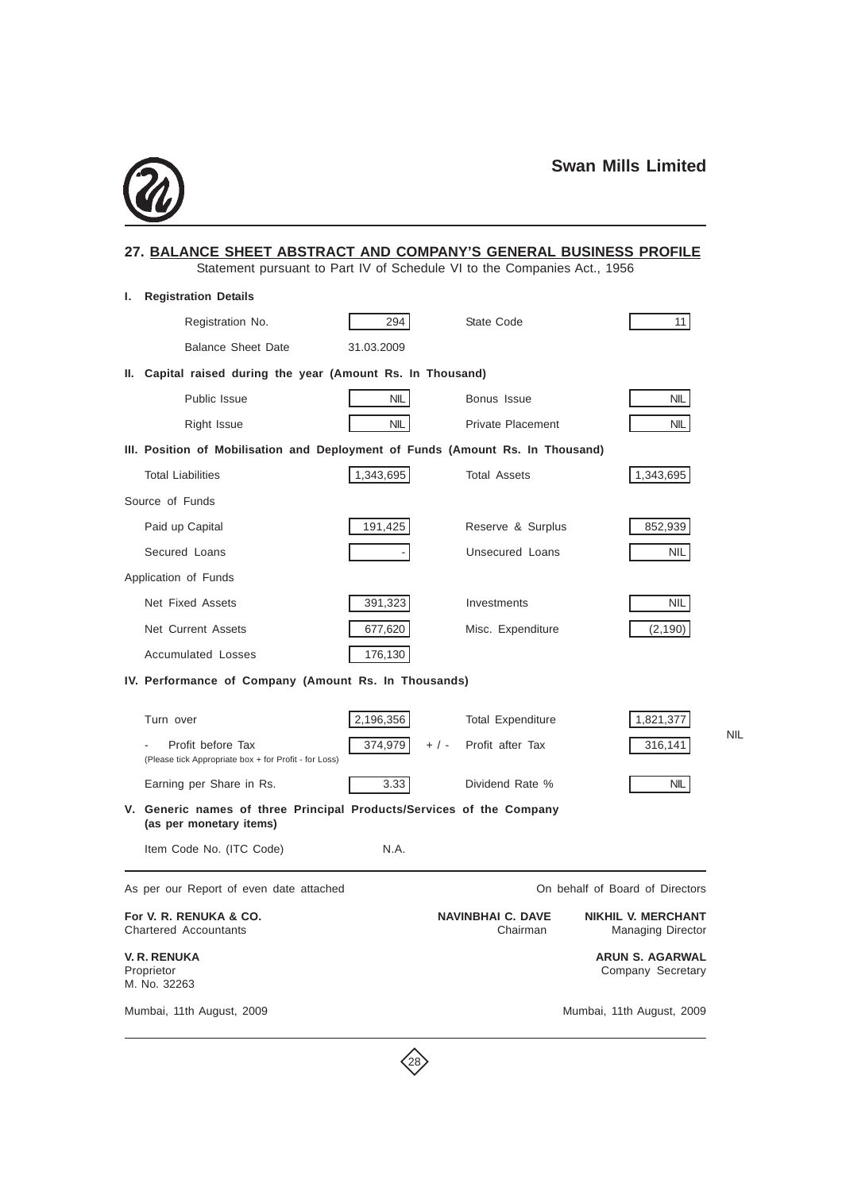NIL



|      | 27. BALANCE SHEET ABSTRACT AND COMPANY'S GENERAL BUSINESS PROFILE<br>Statement pursuant to Part IV of Schedule VI to the Companies Act., 1956 |            |         |                                      |  |                                                |
|------|-----------------------------------------------------------------------------------------------------------------------------------------------|------------|---------|--------------------------------------|--|------------------------------------------------|
| ı.   | <b>Registration Details</b>                                                                                                                   |            |         |                                      |  |                                                |
|      | Registration No.                                                                                                                              | 294        |         | State Code                           |  | 11                                             |
|      | <b>Balance Sheet Date</b>                                                                                                                     | 31.03.2009 |         |                                      |  |                                                |
| н. - | Capital raised during the year (Amount Rs. In Thousand)                                                                                       |            |         |                                      |  |                                                |
|      | Public Issue                                                                                                                                  | <b>NIL</b> |         | Bonus Issue                          |  | <b>NIL</b>                                     |
|      | Right Issue                                                                                                                                   | <b>NIL</b> |         | <b>Private Placement</b>             |  | NIL                                            |
|      | III. Position of Mobilisation and Deployment of Funds (Amount Rs. In Thousand)                                                                |            |         |                                      |  |                                                |
|      | <b>Total Liabilities</b>                                                                                                                      | 1,343,695  |         | <b>Total Assets</b>                  |  | 1,343,695                                      |
|      | Source of Funds                                                                                                                               |            |         |                                      |  |                                                |
|      | Paid up Capital                                                                                                                               | 191,425    |         | Reserve & Surplus                    |  | 852,939                                        |
|      | Secured Loans                                                                                                                                 |            |         | Unsecured Loans                      |  | NIL                                            |
|      | Application of Funds                                                                                                                          |            |         |                                      |  |                                                |
|      | Net Fixed Assets                                                                                                                              | 391,323    |         | Investments                          |  | NIL                                            |
|      | Net Current Assets                                                                                                                            | 677,620    |         | Misc. Expenditure                    |  | (2, 190)                                       |
|      | <b>Accumulated Losses</b>                                                                                                                     | 176,130    |         |                                      |  |                                                |
|      | IV. Performance of Company (Amount Rs. In Thousands)                                                                                          |            |         |                                      |  |                                                |
|      | Turn over                                                                                                                                     | 2,196,356  |         | <b>Total Expenditure</b>             |  | 1,821,377                                      |
|      | Profit before Tax<br>(Please tick Appropriate box + for Profit - for Loss)                                                                    | 374,979    | $+$ / - | Profit after Tax                     |  | 316,141                                        |
|      | Earning per Share in Rs.                                                                                                                      | 3.33       |         | Dividend Rate %                      |  | NIL                                            |
|      | V. Generic names of three Principal Products/Services of the Company<br>(as per monetary items)                                               |            |         |                                      |  |                                                |
|      | Item Code No. (ITC Code)                                                                                                                      | N.A.       |         |                                      |  |                                                |
|      | As per our Report of even date attached                                                                                                       |            |         |                                      |  | On behalf of Board of Directors                |
|      | For V. R. RENUKA & CO.<br><b>Chartered Accountants</b>                                                                                        |            |         | <b>NAVINBHAI C. DAVE</b><br>Chairman |  | <b>NIKHIL V. MERCHANT</b><br>Managing Director |
|      | <b>V. R. RENUKA</b><br>Proprietor<br>M. No. 32263                                                                                             |            |         |                                      |  | <b>ARUN S. AGARWAL</b><br>Company Secretary    |
|      | Mumbai, 11th August, 2009                                                                                                                     |            |         |                                      |  | Mumbai, 11th August, 2009                      |

 $\left\langle \right\rangle$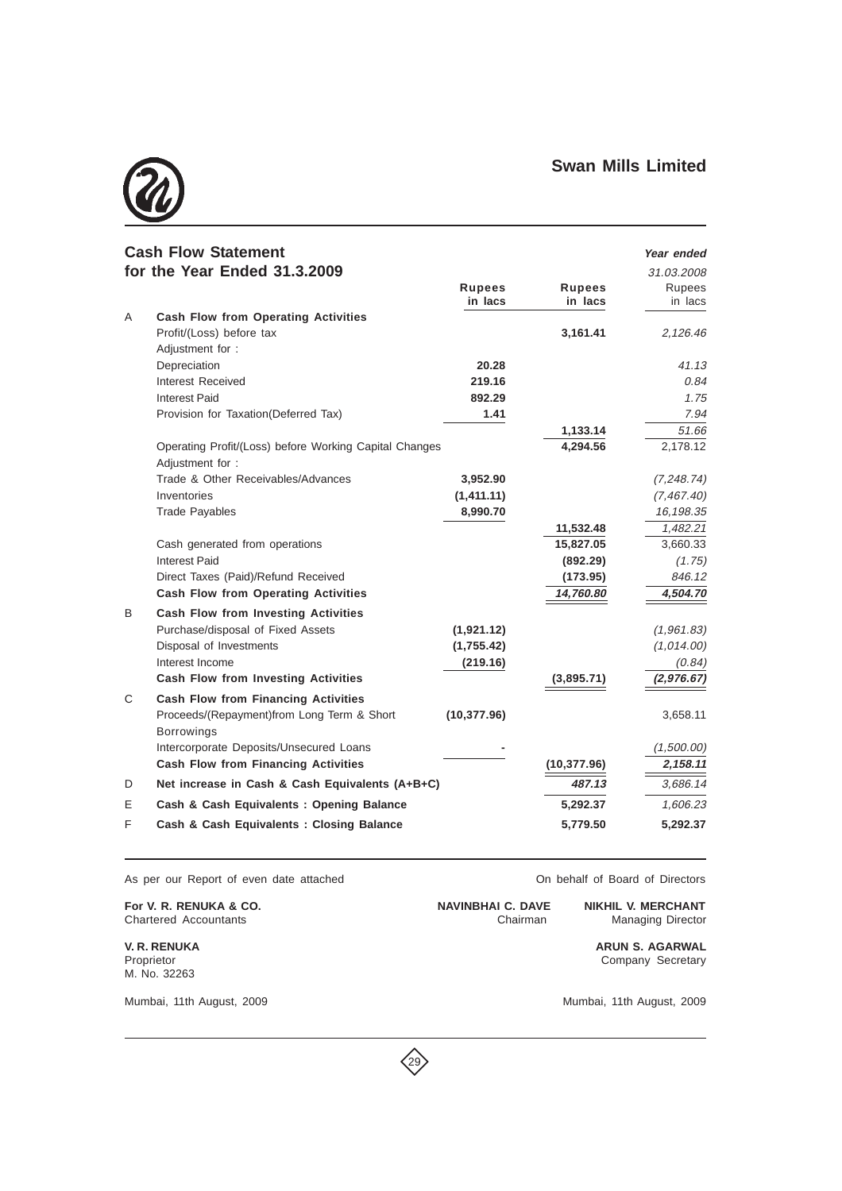

|   | <b>Cash Flow Statement</b>                                                |               |               | Year ended  |
|---|---------------------------------------------------------------------------|---------------|---------------|-------------|
|   | for the Year Ended 31.3.2009                                              |               |               | 31.03.2008  |
|   |                                                                           | <b>Rupees</b> | <b>Rupees</b> | Rupees      |
|   |                                                                           | in lacs       | in lacs       | in lacs     |
| A | <b>Cash Flow from Operating Activities</b>                                |               |               |             |
|   | Profit/(Loss) before tax                                                  |               | 3,161.41      | 2,126.46    |
|   | Adjustment for :                                                          |               |               |             |
|   | Depreciation                                                              | 20.28         |               | 41.13       |
|   | Interest Received                                                         | 219.16        |               | 0.84        |
|   | <b>Interest Paid</b>                                                      | 892.29        |               | 1.75        |
|   | Provision for Taxation(Deferred Tax)                                      | 1.41          |               | 7.94        |
|   |                                                                           |               | 1,133.14      | 51.66       |
|   | Operating Profit/(Loss) before Working Capital Changes<br>Adjustment for: |               | 4,294.56      | 2,178.12    |
|   | Trade & Other Receivables/Advances                                        | 3,952.90      |               | (7, 248.74) |
|   | Inventories                                                               | (1,411.11)    |               | (7, 467.40) |
|   | <b>Trade Payables</b>                                                     | 8,990.70      |               | 16,198.35   |
|   |                                                                           |               | 11,532.48     | 1,482.21    |
|   | Cash generated from operations                                            |               | 15,827.05     | 3,660.33    |
|   | Interest Paid                                                             |               | (892.29)      | (1.75)      |
|   | Direct Taxes (Paid)/Refund Received                                       |               | (173.95)      | 846.12      |
|   | <b>Cash Flow from Operating Activities</b>                                |               | 14,760.80     | 4,504.70    |
| B | <b>Cash Flow from Investing Activities</b>                                |               |               |             |
|   | Purchase/disposal of Fixed Assets                                         | (1,921.12)    |               | (1,961.83)  |
|   | Disposal of Investments                                                   | (1,755.42)    |               | (1,014.00)  |
|   | Interest Income                                                           | (219.16)      |               | (0.84)      |
|   | <b>Cash Flow from Investing Activities</b>                                |               | (3,895.71)    | (2,976.67)  |
| C | <b>Cash Flow from Financing Activities</b>                                |               |               |             |
|   | Proceeds/(Repayment)from Long Term & Short<br><b>Borrowings</b>           | (10, 377.96)  |               | 3,658.11    |
|   | Intercorporate Deposits/Unsecured Loans                                   |               |               | (1,500.00)  |
|   | <b>Cash Flow from Financing Activities</b>                                |               | (10, 377.96)  | 2,158.11    |
| D | Net increase in Cash & Cash Equivalents (A+B+C)                           |               | 487.13        | 3,686.14    |
| Е | Cash & Cash Equivalents: Opening Balance                                  |               | 5,292.37      | 1,606.23    |
| F | Cash & Cash Equivalents: Closing Balance                                  |               | 5,779.50      | 5,292.37    |

 $\left\langle 29 \right\rangle$ 

As per our Report of even date attached **On behalf of Board of Directors** 

**For V. R. RENUKA & CO. NAVINBHAI C. DAVE NIKHIL V. MERCHANT**<br>Chartered Accountants **Chairman** Managing Director Chartered Accountants

M. No. 32263

**V. R. RENUKA ARUN S. AGARWAL** Company Secretary

Mumbai, 11th August, 2009 Mumbai, 11th August, 2009